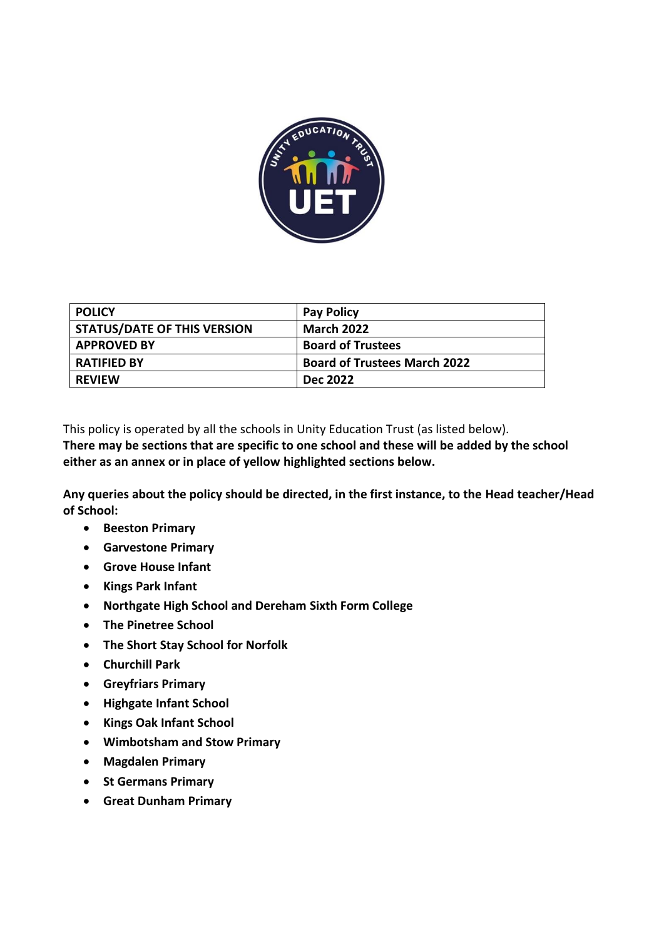

| <b>POLICY</b>                      | <b>Pay Policy</b>                   |
|------------------------------------|-------------------------------------|
| <b>STATUS/DATE OF THIS VERSION</b> | <b>March 2022</b>                   |
| <b>APPROVED BY</b>                 | <b>Board of Trustees</b>            |
| <b>RATIFIED BY</b>                 | <b>Board of Trustees March 2022</b> |
| <b>REVIEW</b>                      | <b>Dec 2022</b>                     |

This policy is operated by all the schools in Unity Education Trust (as listed below).

**There may be sections that are specific to one school and these will be added by the school either as an annex or in place of yellow highlighted sections below.**

**Any queries about the policy should be directed, in the first instance, to the Head teacher/Head of School:**

- **Beeston Primary**
- **Garvestone Primary**
- **Grove House Infant**
- **Kings Park Infant**
- **Northgate High School and Dereham Sixth Form College**
- **The Pinetree School**
- **The Short Stay School for Norfolk**
- **Churchill Park**
- **Greyfriars Primary**
- **Highgate Infant School**
- **Kings Oak Infant School**
- **Wimbotsham and Stow Primary**
- **Magdalen Primary**
- **St Germans Primary**
- **Great Dunham Primary**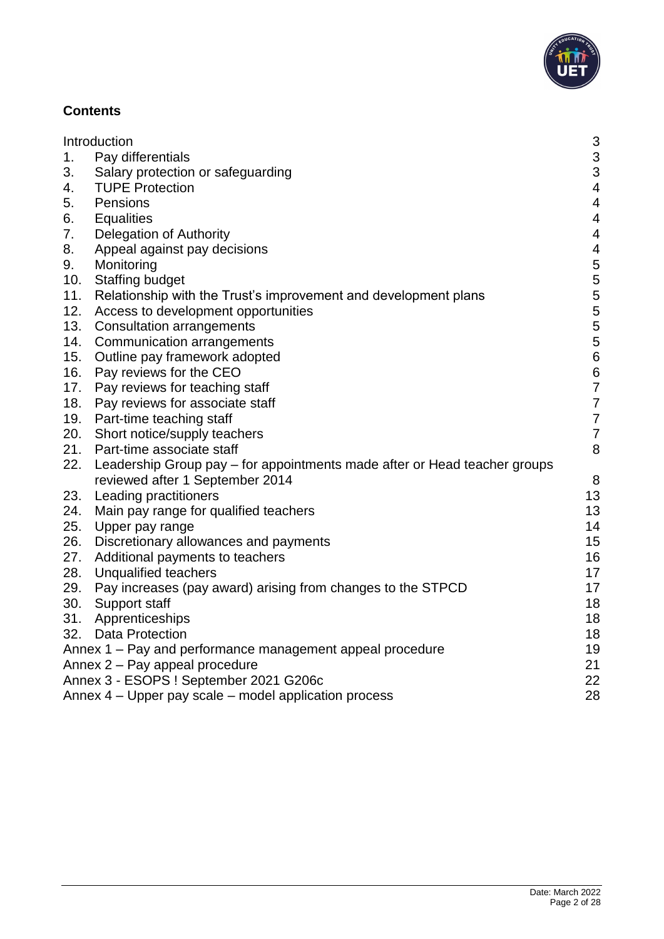

## **Contents**

|     | Introduction                                                              | 3                        |
|-----|---------------------------------------------------------------------------|--------------------------|
| 1.  | Pay differentials                                                         | 3                        |
| 3.  | Salary protection or safeguarding                                         | 3                        |
| 4.  | <b>TUPE Protection</b>                                                    | $\overline{\mathcal{A}}$ |
| 5.  | Pensions                                                                  | 4                        |
| 6.  | <b>Equalities</b>                                                         | $\overline{4}$           |
| 7.  | Delegation of Authority                                                   | $\overline{4}$           |
| 8.  | Appeal against pay decisions                                              | 4                        |
| 9.  | Monitoring                                                                | 5                        |
| 10. | <b>Staffing budget</b>                                                    | 5                        |
| 11. | Relationship with the Trust's improvement and development plans           | 5                        |
| 12. | Access to development opportunities                                       | 5                        |
| 13. | <b>Consultation arrangements</b>                                          | 5                        |
| 14. | Communication arrangements                                                | 5                        |
| 15. | Outline pay framework adopted                                             | $6\phantom{a}$           |
| 16. | Pay reviews for the CEO                                                   | 6                        |
| 17. | Pay reviews for teaching staff                                            | $\overline{7}$           |
| 18. | Pay reviews for associate staff                                           | $\overline{7}$           |
| 19. | Part-time teaching staff                                                  | $\overline{7}$           |
| 20. | Short notice/supply teachers                                              | $\overline{7}$           |
| 21. | Part-time associate staff                                                 | 8                        |
| 22. | Leadership Group pay – for appointments made after or Head teacher groups |                          |
|     | reviewed after 1 September 2014                                           | 8                        |
| 23. | Leading practitioners                                                     | 13                       |
| 24. | Main pay range for qualified teachers                                     | 13                       |
| 25. | Upper pay range                                                           | 14                       |
| 26. | Discretionary allowances and payments                                     | 15                       |
| 27. | Additional payments to teachers                                           | 16                       |
| 28. | Unqualified teachers                                                      | 17                       |
| 29. | Pay increases (pay award) arising from changes to the STPCD               | 17                       |
| 30. | Support staff                                                             | 18                       |
| 31. | Apprenticeships                                                           | 18                       |
| 32. | <b>Data Protection</b>                                                    | 18                       |
|     | Annex 1 - Pay and performance management appeal procedure                 | 19                       |
|     | Annex 2 - Pay appeal procedure                                            | 21                       |
|     | Annex 3 - ESOPS ! September 2021 G206c                                    | 22                       |
|     | Annex 4 – Upper pay scale – model application process                     | 28                       |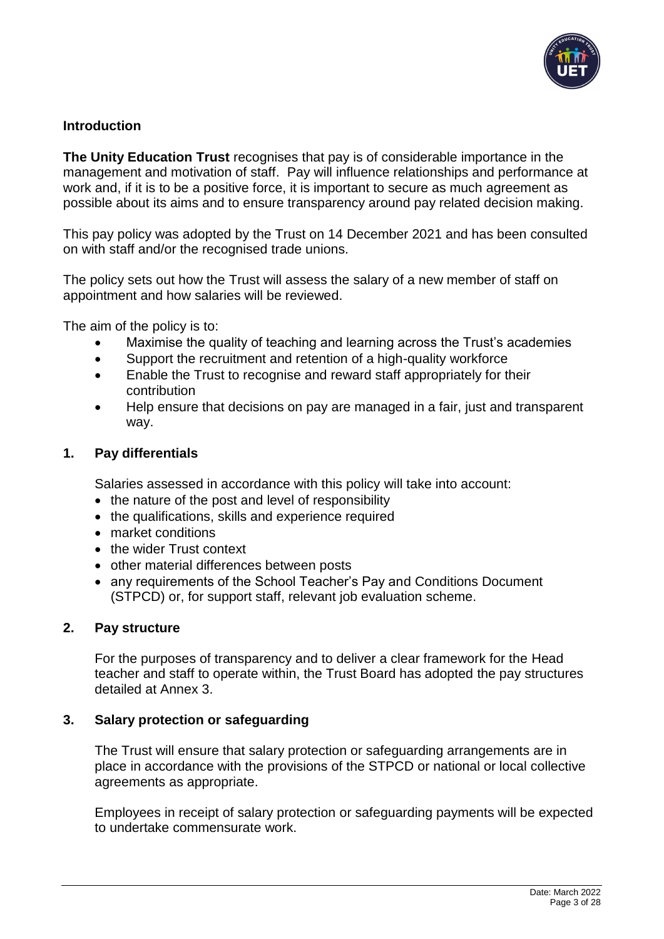

## <span id="page-2-0"></span>**Introduction**

**The Unity Education Trust** recognises that pay is of considerable importance in the management and motivation of staff. Pay will influence relationships and performance at work and, if it is to be a positive force, it is important to secure as much agreement as possible about its aims and to ensure transparency around pay related decision making.

This pay policy was adopted by the Trust on 14 December 2021 and has been consulted on with staff and/or the recognised trade unions.

The policy sets out how the Trust will assess the salary of a new member of staff on appointment and how salaries will be reviewed.

The aim of the policy is to:

- Maximise the quality of teaching and learning across the Trust's academies
- Support the recruitment and retention of a high-quality workforce
- Enable the Trust to recognise and reward staff appropriately for their contribution
- Help ensure that decisions on pay are managed in a fair, just and transparent way.

### <span id="page-2-1"></span>**1. Pay differentials**

Salaries assessed in accordance with this policy will take into account:

- the nature of the post and level of responsibility
- the qualifications, skills and experience required
- market conditions
- the wider Trust context
- other material differences between posts
- any requirements of the School Teacher's Pay and Conditions Document (STPCD) or, for support staff, relevant job evaluation scheme.

#### **2. Pay structure**

For the purposes of transparency and to deliver a clear framework for the Head teacher and staff to operate within, the Trust Board has adopted the pay structures detailed at Annex 3.

## <span id="page-2-2"></span>**3. Salary protection or safeguarding**

The Trust will ensure that salary protection or safeguarding arrangements are in place in accordance with the provisions of the STPCD or national or local collective agreements as appropriate.

Employees in receipt of salary protection or safeguarding payments will be expected to undertake commensurate work.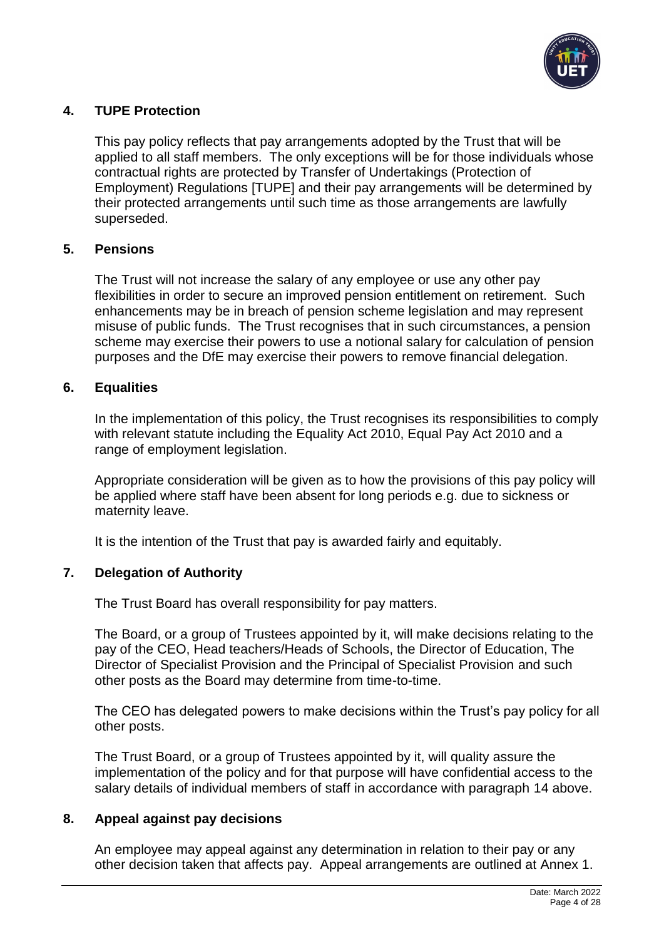

## <span id="page-3-0"></span>**4. TUPE Protection**

This pay policy reflects that pay arrangements adopted by the Trust that will be applied to all staff members. The only exceptions will be for those individuals whose contractual rights are protected by Transfer of Undertakings (Protection of Employment) Regulations [TUPE] and their pay arrangements will be determined by their protected arrangements until such time as those arrangements are lawfully superseded.

### <span id="page-3-1"></span>**5. Pensions**

The Trust will not increase the salary of any employee or use any other pay flexibilities in order to secure an improved pension entitlement on retirement. Such enhancements may be in breach of pension scheme legislation and may represent misuse of public funds. The Trust recognises that in such circumstances, a pension scheme may exercise their powers to use a notional salary for calculation of pension purposes and the DfE may exercise their powers to remove financial delegation.

### <span id="page-3-2"></span>**6. Equalities**

In the implementation of this policy, the Trust recognises its responsibilities to comply with relevant statute including the Equality Act 2010, Equal Pay Act 2010 and a range of employment legislation.

Appropriate consideration will be given as to how the provisions of this pay policy will be applied where staff have been absent for long periods e.g. due to sickness or maternity leave.

It is the intention of the Trust that pay is awarded fairly and equitably.

## <span id="page-3-3"></span>**7. Delegation of Authority**

The Trust Board has overall responsibility for pay matters.

The Board, or a group of Trustees appointed by it, will make decisions relating to the pay of the CEO, Head teachers/Heads of Schools, the Director of Education, The Director of Specialist Provision and the Principal of Specialist Provision and such other posts as the Board may determine from time-to-time.

The CEO has delegated powers to make decisions within the Trust's pay policy for all other posts.

The Trust Board, or a group of Trustees appointed by it, will quality assure the implementation of the policy and for that purpose will have confidential access to the salary details of individual members of staff in accordance with paragraph 14 above.

#### <span id="page-3-4"></span>**8. Appeal against pay decisions**

An employee may appeal against any determination in relation to their pay or any other decision taken that affects pay. Appeal arrangements are outlined at Annex 1.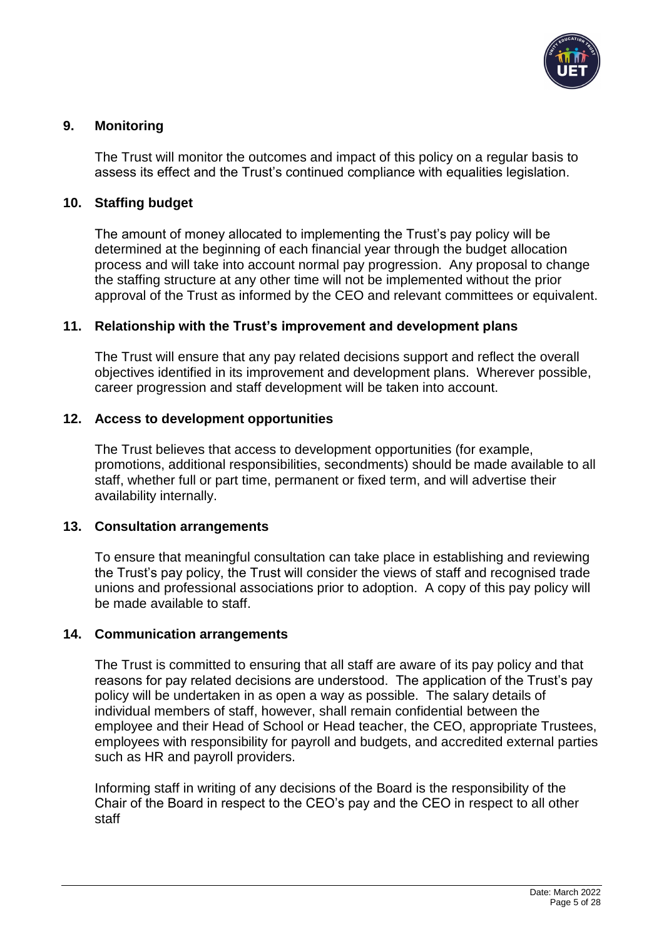

## <span id="page-4-0"></span>**9. Monitoring**

The Trust will monitor the outcomes and impact of this policy on a regular basis to assess its effect and the Trust's continued compliance with equalities legislation.

#### <span id="page-4-1"></span>**10. Staffing budget**

The amount of money allocated to implementing the Trust's pay policy will be determined at the beginning of each financial year through the budget allocation process and will take into account normal pay progression. Any proposal to change the staffing structure at any other time will not be implemented without the prior approval of the Trust as informed by the CEO and relevant committees or equivalent.

## <span id="page-4-2"></span>**11. Relationship with the Trust's improvement and development plans**

The Trust will ensure that any pay related decisions support and reflect the overall objectives identified in its improvement and development plans. Wherever possible, career progression and staff development will be taken into account.

#### <span id="page-4-3"></span>**12. Access to development opportunities**

The Trust believes that access to development opportunities (for example, promotions, additional responsibilities, secondments) should be made available to all staff, whether full or part time, permanent or fixed term, and will advertise their availability internally.

#### <span id="page-4-4"></span>**13. Consultation arrangements**

To ensure that meaningful consultation can take place in establishing and reviewing the Trust's pay policy, the Trust will consider the views of staff and recognised trade unions and professional associations prior to adoption. A copy of this pay policy will be made available to staff.

#### <span id="page-4-5"></span>**14. Communication arrangements**

The Trust is committed to ensuring that all staff are aware of its pay policy and that reasons for pay related decisions are understood. The application of the Trust's pay policy will be undertaken in as open a way as possible. The salary details of individual members of staff, however, shall remain confidential between the employee and their Head of School or Head teacher, the CEO, appropriate Trustees, employees with responsibility for payroll and budgets, and accredited external parties such as HR and payroll providers.

Informing staff in writing of any decisions of the Board is the responsibility of the Chair of the Board in respect to the CEO's pay and the CEO in respect to all other staff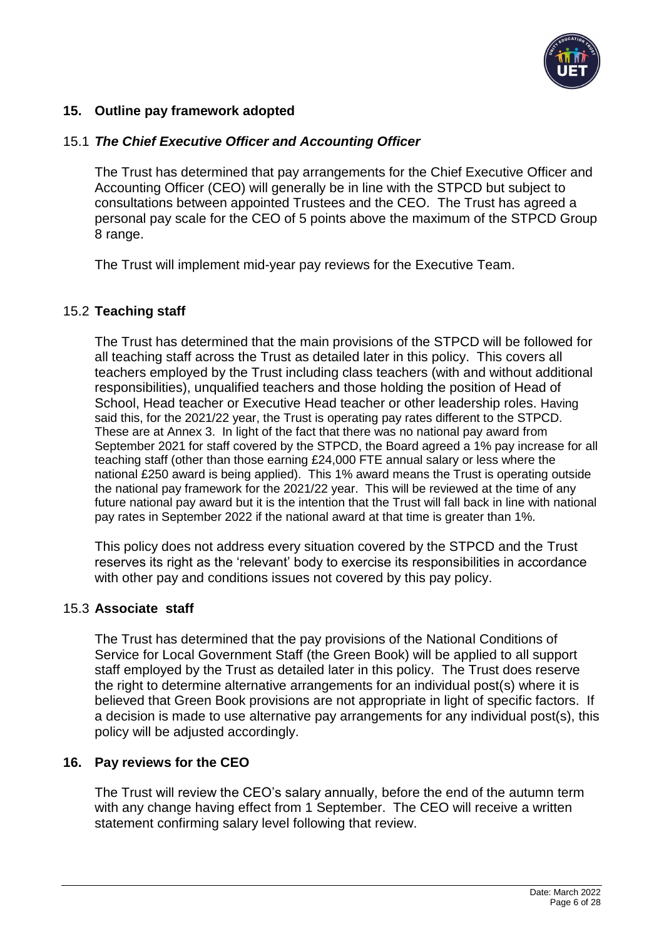

## <span id="page-5-0"></span>**15. Outline pay framework adopted**

#### 15.1 *The Chief Executive Officer and Accounting Officer*

The Trust has determined that pay arrangements for the Chief Executive Officer and Accounting Officer (CEO) will generally be in line with the STPCD but subject to consultations between appointed Trustees and the CEO. The Trust has agreed a personal pay scale for the CEO of 5 points above the maximum of the STPCD Group 8 range.

The Trust will implement mid-year pay reviews for the Executive Team.

#### 15.2 **Teaching staff**

The Trust has determined that the main provisions of the STPCD will be followed for all teaching staff across the Trust as detailed later in this policy. This covers all teachers employed by the Trust including class teachers (with and without additional responsibilities), unqualified teachers and those holding the position of Head of School, Head teacher or Executive Head teacher or other leadership roles. Having said this, for the 2021/22 year, the Trust is operating pay rates different to the STPCD. These are at Annex 3. In light of the fact that there was no national pay award from September 2021 for staff covered by the STPCD, the Board agreed a 1% pay increase for all teaching staff (other than those earning £24,000 FTE annual salary or less where the national £250 award is being applied). This 1% award means the Trust is operating outside the national pay framework for the 2021/22 year. This will be reviewed at the time of any future national pay award but it is the intention that the Trust will fall back in line with national pay rates in September 2022 if the national award at that time is greater than 1%.

This policy does not address every situation covered by the STPCD and the Trust reserves its right as the 'relevant' body to exercise its responsibilities in accordance with other pay and conditions issues not covered by this pay policy.

#### 15.3 **Associate staff**

The Trust has determined that the pay provisions of the National Conditions of Service for Local Government Staff (the Green Book) will be applied to all support staff employed by the Trust as detailed later in this policy. The Trust does reserve the right to determine alternative arrangements for an individual post(s) where it is believed that Green Book provisions are not appropriate in light of specific factors. If a decision is made to use alternative pay arrangements for any individual post(s), this policy will be adjusted accordingly.

#### <span id="page-5-1"></span>**16. Pay reviews for the CEO**

The Trust will review the CEO's salary annually, before the end of the autumn term with any change having effect from 1 September. The CEO will receive a written statement confirming salary level following that review.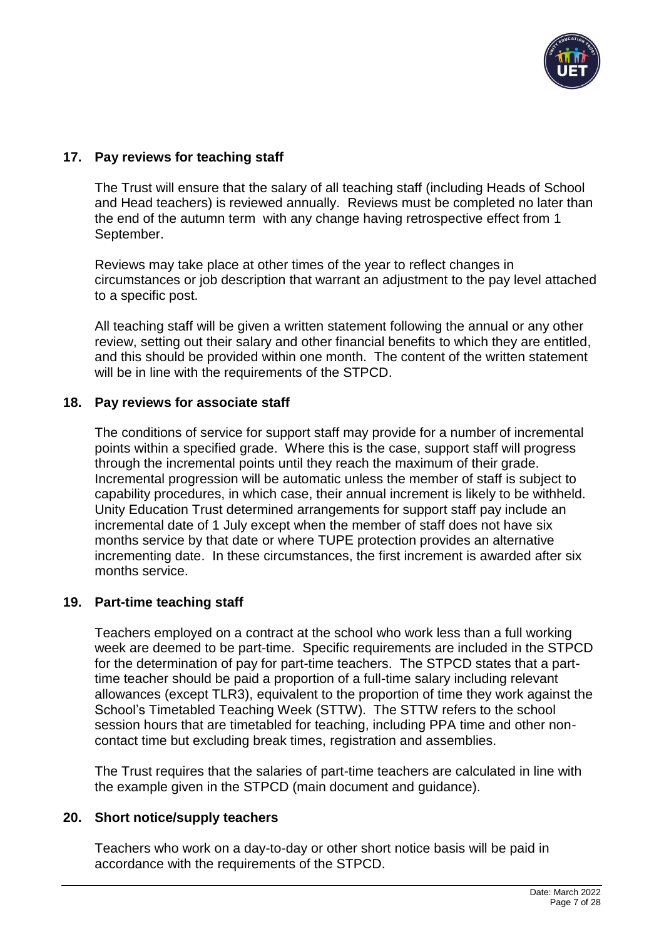

## <span id="page-6-0"></span>**17. Pay reviews for teaching staff**

The Trust will ensure that the salary of all teaching staff (including Heads of School and Head teachers) is reviewed annually. Reviews must be completed no later than the end of the autumn term with any change having retrospective effect from 1 September.

Reviews may take place at other times of the year to reflect changes in circumstances or job description that warrant an adjustment to the pay level attached to a specific post.

All teaching staff will be given a written statement following the annual or any other review, setting out their salary and other financial benefits to which they are entitled, and this should be provided within one month. The content of the written statement will be in line with the requirements of the STPCD.

#### <span id="page-6-1"></span>**18. Pay reviews for associate staff**

The conditions of service for support staff may provide for a number of incremental points within a specified grade. Where this is the case, support staff will progress through the incremental points until they reach the maximum of their grade. Incremental progression will be automatic unless the member of staff is subject to capability procedures, in which case, their annual increment is likely to be withheld. Unity Education Trust determined arrangements for support staff pay include an incremental date of 1 July except when the member of staff does not have six months service by that date or where TUPE protection provides an alternative incrementing date. In these circumstances, the first increment is awarded after six months service.

#### <span id="page-6-2"></span>**19. Part-time teaching staff**

Teachers employed on a contract at the school who work less than a full working week are deemed to be part-time. Specific requirements are included in the STPCD for the determination of pay for part-time teachers. The STPCD states that a parttime teacher should be paid a proportion of a full-time salary including relevant allowances (except TLR3), equivalent to the proportion of time they work against the School's Timetabled Teaching Week (STTW). The STTW refers to the school session hours that are timetabled for teaching, including PPA time and other noncontact time but excluding break times, registration and assemblies.

The Trust requires that the salaries of part-time teachers are calculated in line with the example given in the STPCD (main document and guidance).

#### <span id="page-6-3"></span>**20. Short notice/supply teachers**

Teachers who work on a day-to-day or other short notice basis will be paid in accordance with the requirements of the STPCD.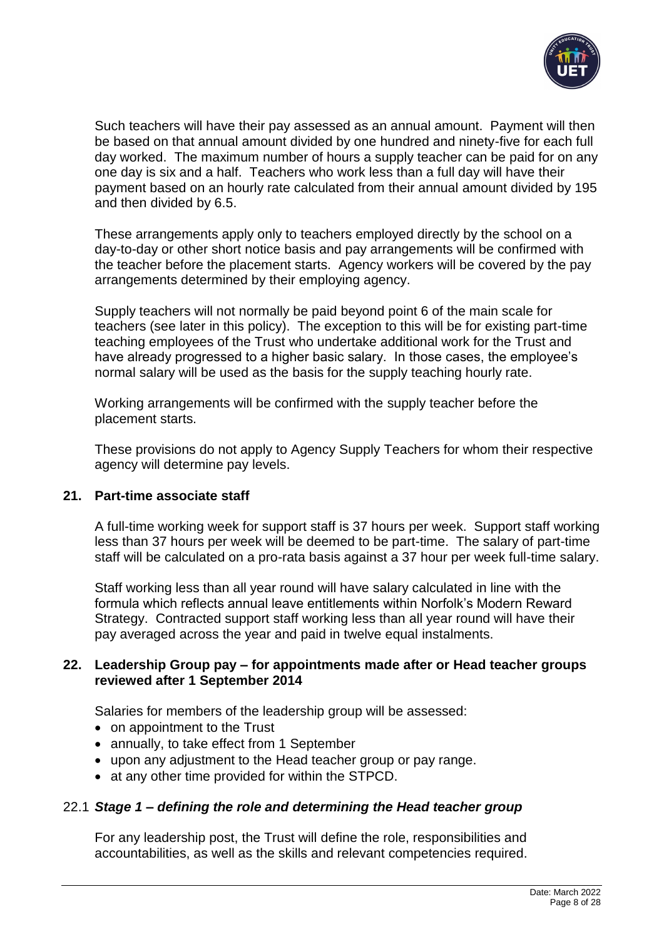

Such teachers will have their pay assessed as an annual amount. Payment will then be based on that annual amount divided by one hundred and ninety-five for each full day worked. The maximum number of hours a supply teacher can be paid for on any one day is six and a half. Teachers who work less than a full day will have their payment based on an hourly rate calculated from their annual amount divided by 195 and then divided by 6.5.

These arrangements apply only to teachers employed directly by the school on a day-to-day or other short notice basis and pay arrangements will be confirmed with the teacher before the placement starts. Agency workers will be covered by the pay arrangements determined by their employing agency.

Supply teachers will not normally be paid beyond point 6 of the main scale for teachers (see later in this policy). The exception to this will be for existing part-time teaching employees of the Trust who undertake additional work for the Trust and have already progressed to a higher basic salary. In those cases, the employee's normal salary will be used as the basis for the supply teaching hourly rate.

Working arrangements will be confirmed with the supply teacher before the placement starts.

These provisions do not apply to Agency Supply Teachers for whom their respective agency will determine pay levels.

#### <span id="page-7-0"></span>**21. Part-time associate staff**

A full-time working week for support staff is 37 hours per week. Support staff working less than 37 hours per week will be deemed to be part-time. The salary of part-time staff will be calculated on a pro-rata basis against a 37 hour per week full-time salary.

Staff working less than all year round will have salary calculated in line with the formula which reflects annual leave entitlements within Norfolk's Modern Reward Strategy. Contracted support staff working less than all year round will have their pay averaged across the year and paid in twelve equal instalments.

#### <span id="page-7-1"></span>**22. Leadership Group pay – for appointments made after or Head teacher groups reviewed after 1 September 2014**

Salaries for members of the leadership group will be assessed:

- on appointment to the Trust
- annually, to take effect from 1 September
- upon any adjustment to the Head teacher group or pay range.
- at any other time provided for within the STPCD.

#### 22.1 *Stage 1 – defining the role and determining the Head teacher group*

For any leadership post, the Trust will define the role, responsibilities and accountabilities, as well as the skills and relevant competencies required.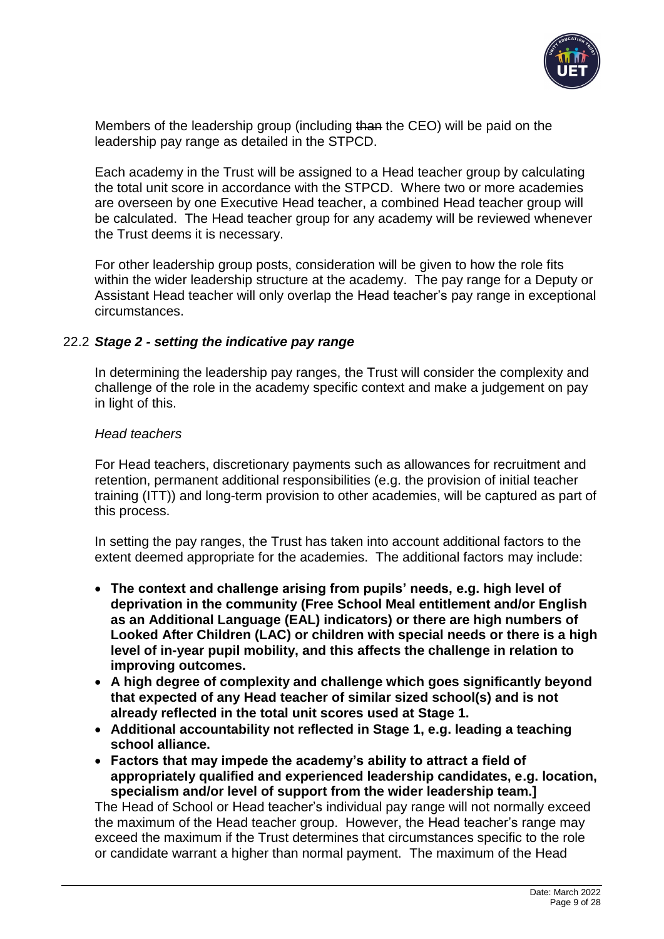

Members of the leadership group (including than the CEO) will be paid on the leadership pay range as detailed in the STPCD.

Each academy in the Trust will be assigned to a Head teacher group by calculating the total unit score in accordance with the STPCD. Where two or more academies are overseen by one Executive Head teacher, a combined Head teacher group will be calculated. The Head teacher group for any academy will be reviewed whenever the Trust deems it is necessary.

For other leadership group posts, consideration will be given to how the role fits within the wider leadership structure at the academy. The pay range for a Deputy or Assistant Head teacher will only overlap the Head teacher's pay range in exceptional circumstances.

#### 22.2 *Stage 2 - setting the indicative pay range*

In determining the leadership pay ranges, the Trust will consider the complexity and challenge of the role in the academy specific context and make a judgement on pay in light of this.

#### *Head teachers*

For Head teachers, discretionary payments such as allowances for recruitment and retention, permanent additional responsibilities (e.g. the provision of initial teacher training (ITT)) and long-term provision to other academies, will be captured as part of this process.

In setting the pay ranges, the Trust has taken into account additional factors to the extent deemed appropriate for the academies. The additional factors may include:

- **The context and challenge arising from pupils' needs, e.g. high level of deprivation in the community (Free School Meal entitlement and/or English as an Additional Language (EAL) indicators) or there are high numbers of Looked After Children (LAC) or children with special needs or there is a high level of in-year pupil mobility, and this affects the challenge in relation to improving outcomes.**
- **A high degree of complexity and challenge which goes significantly beyond that expected of any Head teacher of similar sized school(s) and is not already reflected in the total unit scores used at Stage 1.**
- **Additional accountability not reflected in Stage 1, e.g. leading a teaching school alliance.**
- **Factors that may impede the academy's ability to attract a field of appropriately qualified and experienced leadership candidates, e.g. location, specialism and/or level of support from the wider leadership team.]**

The Head of School or Head teacher's individual pay range will not normally exceed the maximum of the Head teacher group. However, the Head teacher's range may exceed the maximum if the Trust determines that circumstances specific to the role or candidate warrant a higher than normal payment. The maximum of the Head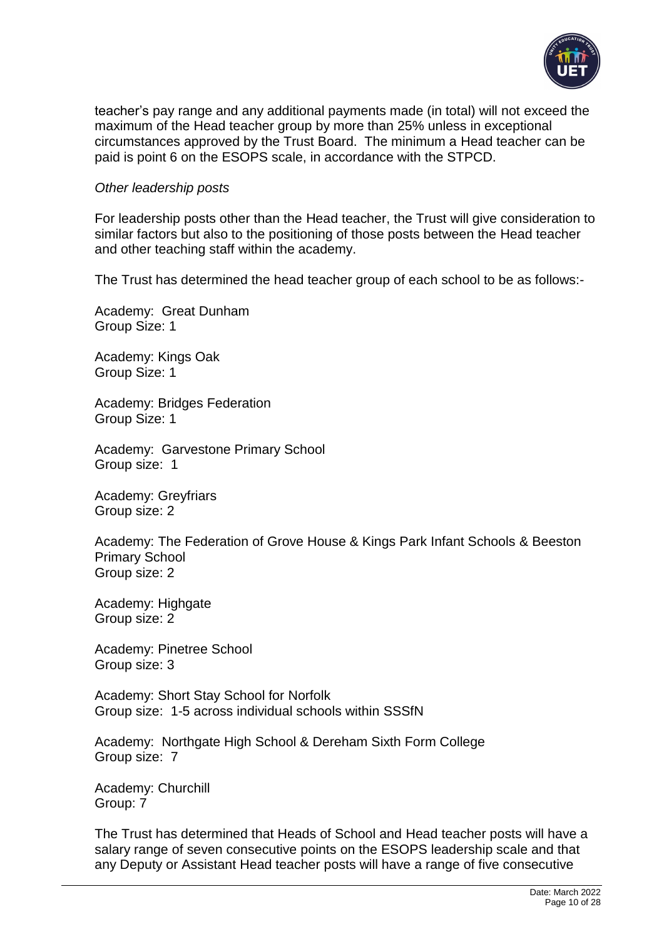

teacher's pay range and any additional payments made (in total) will not exceed the maximum of the Head teacher group by more than 25% unless in exceptional circumstances approved by the Trust Board. The minimum a Head teacher can be paid is point 6 on the ESOPS scale, in accordance with the STPCD.

#### *Other leadership posts*

For leadership posts other than the Head teacher, the Trust will give consideration to similar factors but also to the positioning of those posts between the Head teacher and other teaching staff within the academy.

The Trust has determined the head teacher group of each school to be as follows:-

Academy: Great Dunham Group Size: 1

Academy: Kings Oak Group Size: 1

Academy: Bridges Federation Group Size: 1

Academy: Garvestone Primary School Group size: 1

Academy: Greyfriars Group size: 2

Academy: The Federation of Grove House & Kings Park Infant Schools & Beeston Primary School Group size: 2

Academy: Highgate Group size: 2

Academy: Pinetree School Group size: 3

Academy: Short Stay School for Norfolk Group size: 1-5 across individual schools within SSSfN

Academy: Northgate High School & Dereham Sixth Form College Group size: 7

Academy: Churchill Group: 7

The Trust has determined that Heads of School and Head teacher posts will have a salary range of seven consecutive points on the ESOPS leadership scale and that any Deputy or Assistant Head teacher posts will have a range of five consecutive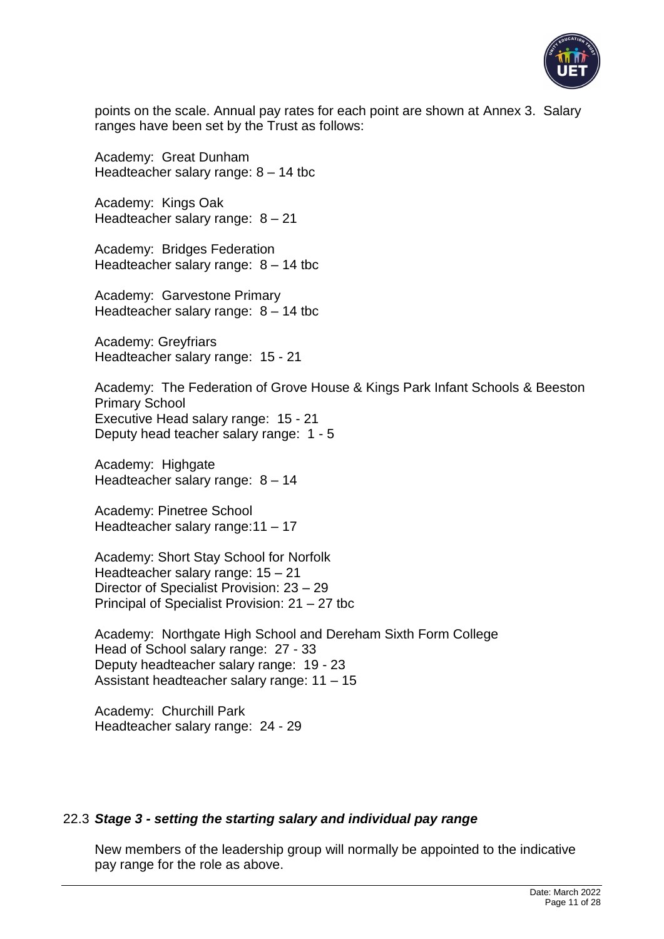

points on the scale. Annual pay rates for each point are shown at Annex 3. Salary ranges have been set by the Trust as follows:

Academy: Great Dunham Headteacher salary range: 8 – 14 tbc

Academy: Kings Oak Headteacher salary range: 8 – 21

Academy: Bridges Federation Headteacher salary range:  $8 - 14$  tbc

Academy: Garvestone Primary Headteacher salary range:  $8 - 14$  tbc

Academy: Greyfriars Headteacher salary range: 15 - 21

Academy: The Federation of Grove House & Kings Park Infant Schools & Beeston Primary School Executive Head salary range: 15 - 21 Deputy head teacher salary range: 1 - 5

Academy: Highgate Headteacher salary range: 8 – 14

Academy: Pinetree School Headteacher salary range:11 – 17

Academy: Short Stay School for Norfolk Headteacher salary range: 15 – 21 Director of Specialist Provision: 23 – 29 Principal of Specialist Provision: 21 – 27 tbc

Academy: Northgate High School and Dereham Sixth Form College Head of School salary range: 27 - 33 Deputy headteacher salary range: 19 - 23 Assistant headteacher salary range: 11 – 15

Academy: Churchill Park Headteacher salary range: 24 - 29

#### 22.3 *Stage 3 - setting the starting salary and individual pay range*

New members of the leadership group will normally be appointed to the indicative pay range for the role as above.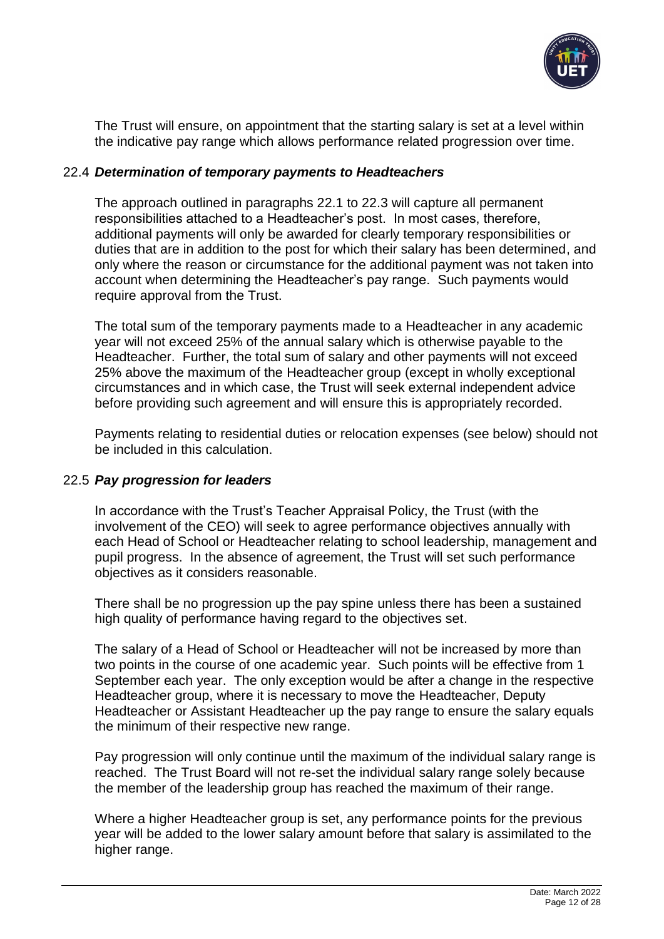

The Trust will ensure, on appointment that the starting salary is set at a level within the indicative pay range which allows performance related progression over time.

### 22.4 *Determination of temporary payments to Headteachers*

The approach outlined in paragraphs 22.1 to 22.3 will capture all permanent responsibilities attached to a Headteacher's post. In most cases, therefore, additional payments will only be awarded for clearly temporary responsibilities or duties that are in addition to the post for which their salary has been determined, and only where the reason or circumstance for the additional payment was not taken into account when determining the Headteacher's pay range. Such payments would require approval from the Trust.

The total sum of the temporary payments made to a Headteacher in any academic year will not exceed 25% of the annual salary which is otherwise payable to the Headteacher. Further, the total sum of salary and other payments will not exceed 25% above the maximum of the Headteacher group (except in wholly exceptional circumstances and in which case, the Trust will seek external independent advice before providing such agreement and will ensure this is appropriately recorded.

Payments relating to residential duties or relocation expenses (see below) should not be included in this calculation.

## 22.5 *Pay progression for leaders*

In accordance with the Trust's Teacher Appraisal Policy, the Trust (with the involvement of the CEO) will seek to agree performance objectives annually with each Head of School or Headteacher relating to school leadership, management and pupil progress. In the absence of agreement, the Trust will set such performance objectives as it considers reasonable.

There shall be no progression up the pay spine unless there has been a sustained high quality of performance having regard to the objectives set.

The salary of a Head of School or Headteacher will not be increased by more than two points in the course of one academic year. Such points will be effective from 1 September each year. The only exception would be after a change in the respective Headteacher group, where it is necessary to move the Headteacher, Deputy Headteacher or Assistant Headteacher up the pay range to ensure the salary equals the minimum of their respective new range.

Pay progression will only continue until the maximum of the individual salary range is reached. The Trust Board will not re-set the individual salary range solely because the member of the leadership group has reached the maximum of their range.

Where a higher Headteacher group is set, any performance points for the previous year will be added to the lower salary amount before that salary is assimilated to the higher range.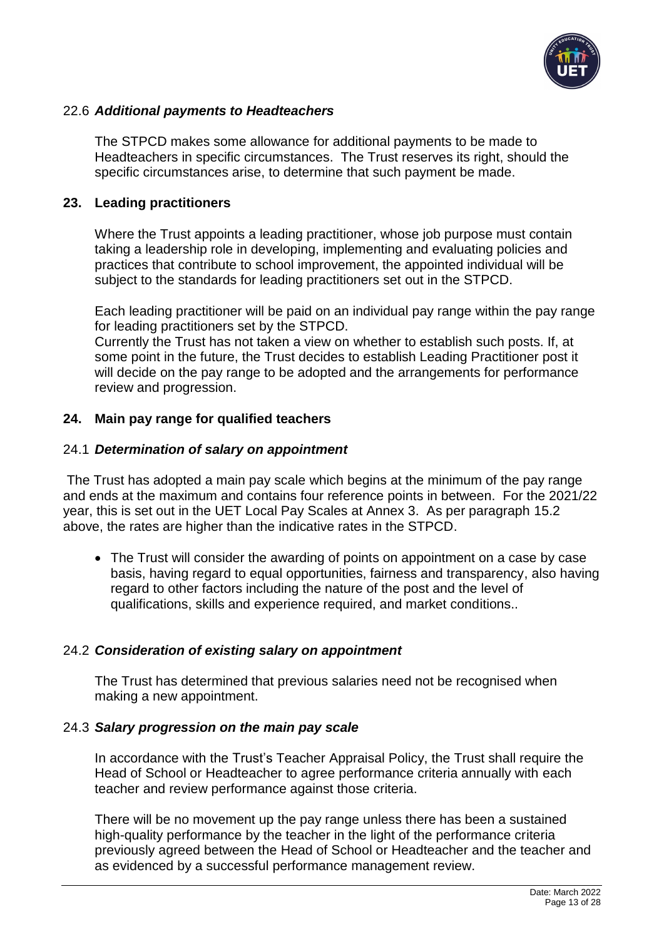

### 22.6 *Additional payments to Headteachers*

The STPCD makes some allowance for additional payments to be made to Headteachers in specific circumstances. The Trust reserves its right, should the specific circumstances arise, to determine that such payment be made.

#### <span id="page-12-0"></span>**23. Leading practitioners**

Where the Trust appoints a leading practitioner, whose job purpose must contain taking a leadership role in developing, implementing and evaluating policies and practices that contribute to school improvement, the appointed individual will be subject to the standards for leading practitioners set out in the STPCD.

Each leading practitioner will be paid on an individual pay range within the pay range for leading practitioners set by the STPCD.

Currently the Trust has not taken a view on whether to establish such posts. If, at some point in the future, the Trust decides to establish Leading Practitioner post it will decide on the pay range to be adopted and the arrangements for performance review and progression.

### <span id="page-12-1"></span>**24. Main pay range for qualified teachers**

#### 24.1 *Determination of salary on appointment*

The Trust has adopted a main pay scale which begins at the minimum of the pay range and ends at the maximum and contains four reference points in between. For the 2021/22 year, this is set out in the UET Local Pay Scales at Annex 3. As per paragraph 15.2 above, the rates are higher than the indicative rates in the STPCD.

• The Trust will consider the awarding of points on appointment on a case by case basis, having regard to equal opportunities, fairness and transparency, also having regard to other factors including the nature of the post and the level of qualifications, skills and experience required, and market conditions..

## 24.2 *Consideration of existing salary on appointment*

The Trust has determined that previous salaries need not be recognised when making a new appointment.

#### 24.3 *Salary progression on the main pay scale*

In accordance with the Trust's Teacher Appraisal Policy, the Trust shall require the Head of School or Headteacher to agree performance criteria annually with each teacher and review performance against those criteria.

There will be no movement up the pay range unless there has been a sustained high-quality performance by the teacher in the light of the performance criteria previously agreed between the Head of School or Headteacher and the teacher and as evidenced by a successful performance management review.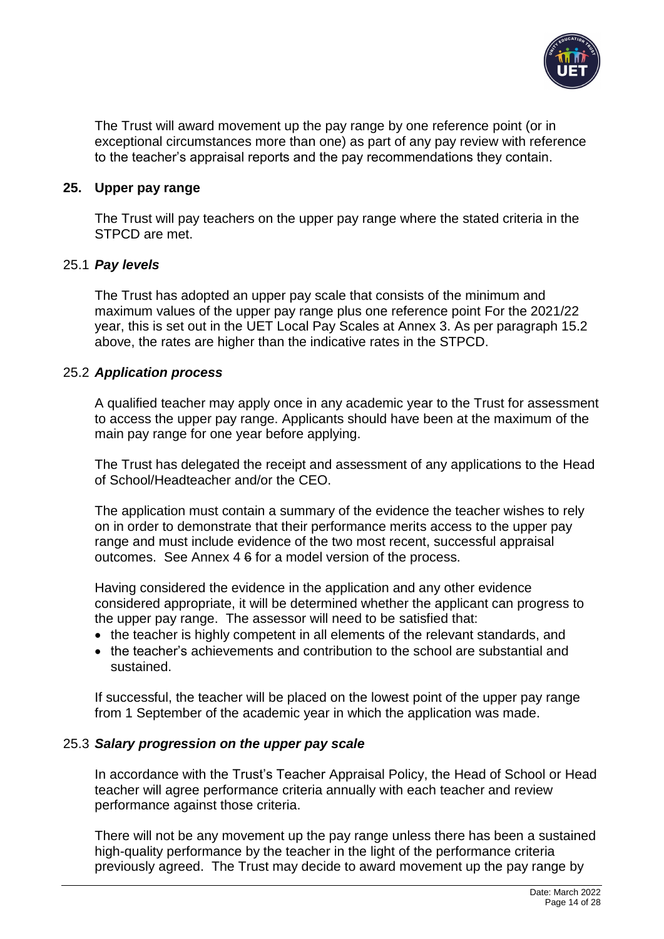

The Trust will award movement up the pay range by one reference point (or in exceptional circumstances more than one) as part of any pay review with reference to the teacher's appraisal reports and the pay recommendations they contain.

#### <span id="page-13-0"></span>**25. Upper pay range**

The Trust will pay teachers on the upper pay range where the stated criteria in the STPCD are met.

#### 25.1 *Pay levels*

The Trust has adopted an upper pay scale that consists of the minimum and maximum values of the upper pay range plus one reference point For the 2021/22 year, this is set out in the UET Local Pay Scales at Annex 3. As per paragraph 15.2 above, the rates are higher than the indicative rates in the STPCD.

### 25.2 *Application process*

A qualified teacher may apply once in any academic year to the Trust for assessment to access the upper pay range. Applicants should have been at the maximum of the main pay range for one year before applying.

The Trust has delegated the receipt and assessment of any applications to the Head of School/Headteacher and/or the CEO.

The application must contain a summary of the evidence the teacher wishes to rely on in order to demonstrate that their performance merits access to the upper pay range and must include evidence of the two most recent, successful appraisal outcomes. See Annex 4 6 for a model version of the process.

Having considered the evidence in the application and any other evidence considered appropriate, it will be determined whether the applicant can progress to the upper pay range. The assessor will need to be satisfied that:

- the teacher is highly competent in all elements of the relevant standards, and
- the teacher's achievements and contribution to the school are substantial and sustained.

If successful, the teacher will be placed on the lowest point of the upper pay range from 1 September of the academic year in which the application was made.

## 25.3 *Salary progression on the upper pay scale*

In accordance with the Trust's Teacher Appraisal Policy, the Head of School or Head teacher will agree performance criteria annually with each teacher and review performance against those criteria.

There will not be any movement up the pay range unless there has been a sustained high-quality performance by the teacher in the light of the performance criteria previously agreed. The Trust may decide to award movement up the pay range by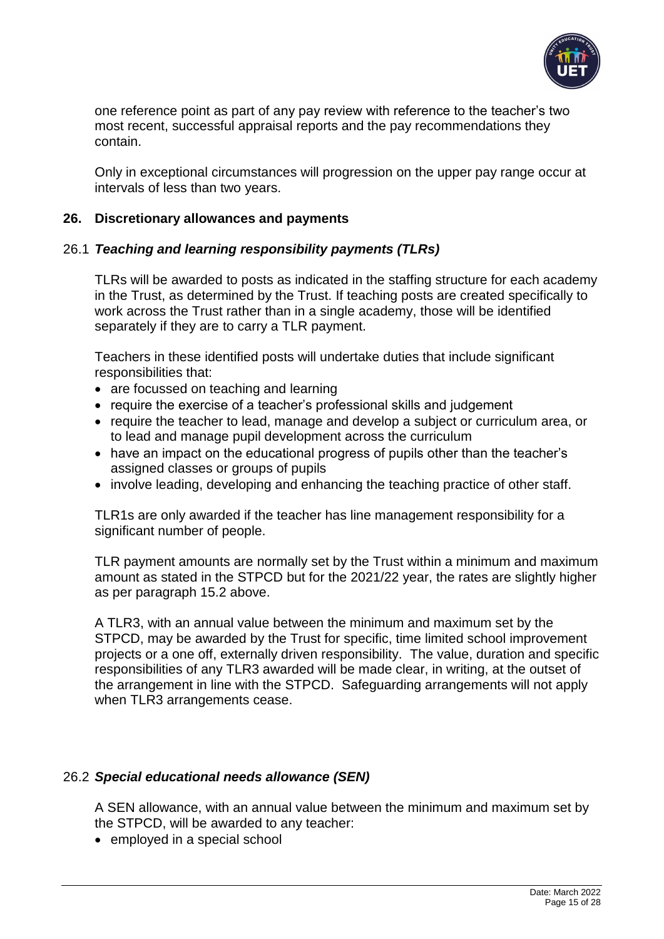

one reference point as part of any pay review with reference to the teacher's two most recent, successful appraisal reports and the pay recommendations they contain.

Only in exceptional circumstances will progression on the upper pay range occur at intervals of less than two years.

### <span id="page-14-0"></span>**26. Discretionary allowances and payments**

### 26.1 *Teaching and learning responsibility payments (TLRs)*

TLRs will be awarded to posts as indicated in the staffing structure for each academy in the Trust, as determined by the Trust. If teaching posts are created specifically to work across the Trust rather than in a single academy, those will be identified separately if they are to carry a TLR payment.

Teachers in these identified posts will undertake duties that include significant responsibilities that:

- are focussed on teaching and learning
- require the exercise of a teacher's professional skills and judgement
- require the teacher to lead, manage and develop a subject or curriculum area, or to lead and manage pupil development across the curriculum
- have an impact on the educational progress of pupils other than the teacher's assigned classes or groups of pupils
- involve leading, developing and enhancing the teaching practice of other staff.

TLR1s are only awarded if the teacher has line management responsibility for a significant number of people.

TLR payment amounts are normally set by the Trust within a minimum and maximum amount as stated in the STPCD but for the 2021/22 year, the rates are slightly higher as per paragraph 15.2 above.

A TLR3, with an annual value between the minimum and maximum set by the STPCD, may be awarded by the Trust for specific, time limited school improvement projects or a one off, externally driven responsibility. The value, duration and specific responsibilities of any TLR3 awarded will be made clear, in writing, at the outset of the arrangement in line with the STPCD. Safeguarding arrangements will not apply when TLR3 arrangements cease.

#### 26.2 *Special educational needs allowance (SEN)*

A SEN allowance, with an annual value between the minimum and maximum set by the STPCD, will be awarded to any teacher:

• employed in a special school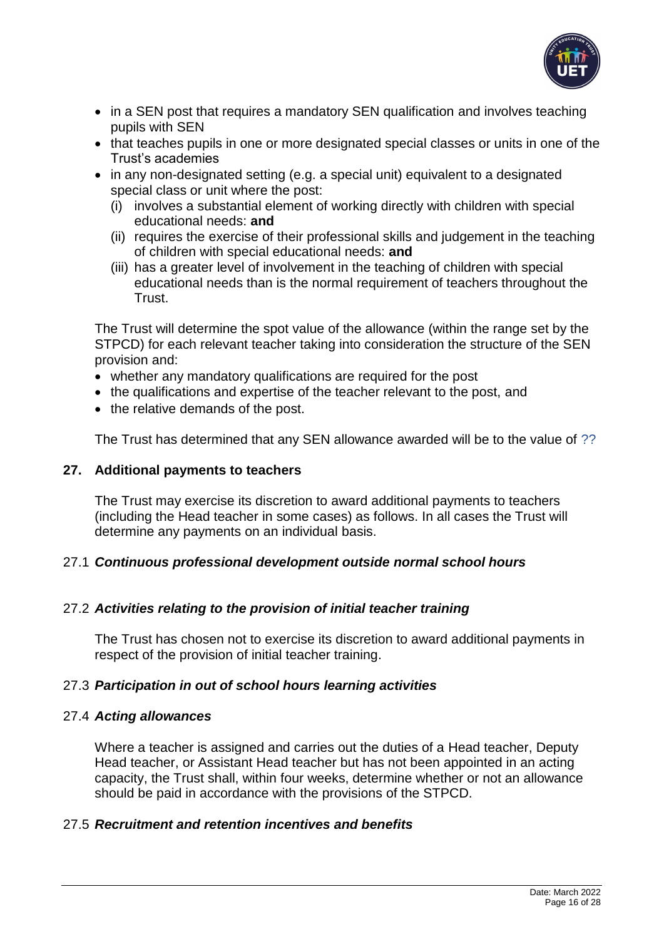

- in a SEN post that requires a mandatory SEN qualification and involves teaching pupils with SEN
- that teaches pupils in one or more designated special classes or units in one of the Trust's academies
- in any non-designated setting (e.g. a special unit) equivalent to a designated special class or unit where the post:
	- (i) involves a substantial element of working directly with children with special educational needs: **and**
	- (ii) requires the exercise of their professional skills and judgement in the teaching of children with special educational needs: **and**
	- (iii) has a greater level of involvement in the teaching of children with special educational needs than is the normal requirement of teachers throughout the Trust.

The Trust will determine the spot value of the allowance (within the range set by the STPCD) for each relevant teacher taking into consideration the structure of the SEN provision and:

- whether any mandatory qualifications are required for the post
- the qualifications and expertise of the teacher relevant to the post, and
- the relative demands of the post.

The Trust has determined that any SEN allowance awarded will be to the value of ??

## <span id="page-15-0"></span>**27. Additional payments to teachers**

The Trust may exercise its discretion to award additional payments to teachers (including the Head teacher in some cases) as follows. In all cases the Trust will determine any payments on an individual basis.

## 27.1 *Continuous professional development outside normal school hours*

## 27.2 *Activities relating to the provision of initial teacher training*

The Trust has chosen not to exercise its discretion to award additional payments in respect of the provision of initial teacher training.

## 27.3 *Participation in out of school hours learning activities*

## 27.4 *Acting allowances*

Where a teacher is assigned and carries out the duties of a Head teacher, Deputy Head teacher, or Assistant Head teacher but has not been appointed in an acting capacity, the Trust shall, within four weeks, determine whether or not an allowance should be paid in accordance with the provisions of the STPCD.

## 27.5 *Recruitment and retention incentives and benefits*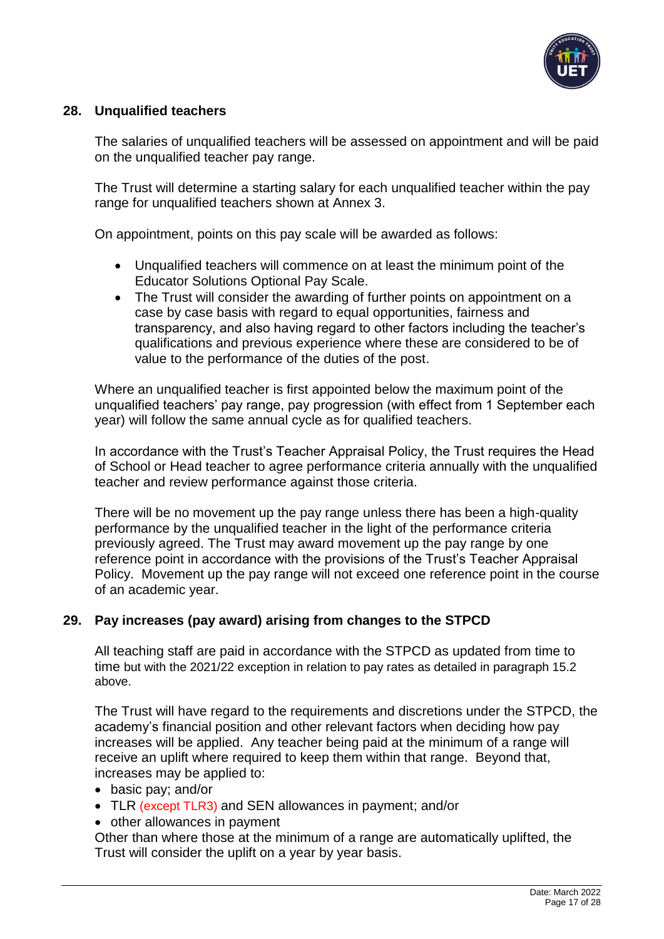

## <span id="page-16-0"></span>**28. Unqualified teachers**

The salaries of unqualified teachers will be assessed on appointment and will be paid on the unqualified teacher pay range.

The Trust will determine a starting salary for each unqualified teacher within the pay range for unqualified teachers shown at Annex 3.

On appointment, points on this pay scale will be awarded as follows:

- Unqualified teachers will commence on at least the minimum point of the Educator Solutions Optional Pay Scale.
- The Trust will consider the awarding of further points on appointment on a case by case basis with regard to equal opportunities, fairness and transparency, and also having regard to other factors including the teacher's qualifications and previous experience where these are considered to be of value to the performance of the duties of the post.

Where an unqualified teacher is first appointed below the maximum point of the unqualified teachers' pay range, pay progression (with effect from 1 September each year) will follow the same annual cycle as for qualified teachers.

In accordance with the Trust's Teacher Appraisal Policy, the Trust requires the Head of School or Head teacher to agree performance criteria annually with the unqualified teacher and review performance against those criteria.

There will be no movement up the pay range unless there has been a high-quality performance by the unqualified teacher in the light of the performance criteria previously agreed. The Trust may award movement up the pay range by one reference point in accordance with the provisions of the Trust's Teacher Appraisal Policy. Movement up the pay range will not exceed one reference point in the course of an academic year.

## <span id="page-16-1"></span>**29. Pay increases (pay award) arising from changes to the STPCD**

All teaching staff are paid in accordance with the STPCD as updated from time to time but with the 2021/22 exception in relation to pay rates as detailed in paragraph 15.2 above.

The Trust will have regard to the requirements and discretions under the STPCD, the academy's financial position and other relevant factors when deciding how pay increases will be applied. Any teacher being paid at the minimum of a range will receive an uplift where required to keep them within that range. Beyond that, increases may be applied to:

- basic pay; and/or
- TLR (except TLR3) and SEN allowances in payment; and/or
- other allowances in payment

Other than where those at the minimum of a range are automatically uplifted, the Trust will consider the uplift on a year by year basis.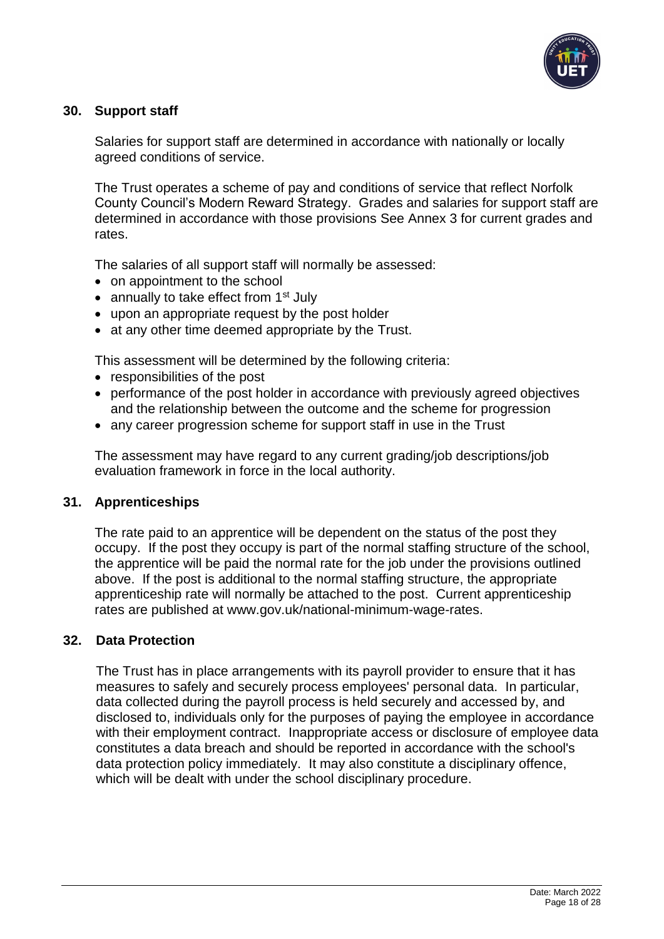

## <span id="page-17-0"></span>**30. Support staff**

Salaries for support staff are determined in accordance with nationally or locally agreed conditions of service.

The Trust operates a scheme of pay and conditions of service that reflect Norfolk County Council's Modern Reward Strategy. Grades and salaries for support staff are determined in accordance with those provisions See Annex 3 for current grades and rates.

The salaries of all support staff will normally be assessed:

- on appointment to the school
- annually to take effect from  $1<sup>st</sup>$  July
- upon an appropriate request by the post holder
- at any other time deemed appropriate by the Trust.

This assessment will be determined by the following criteria:

- responsibilities of the post
- performance of the post holder in accordance with previously agreed objectives and the relationship between the outcome and the scheme for progression
- any career progression scheme for support staff in use in the Trust

The assessment may have regard to any current grading/job descriptions/job evaluation framework in force in the local authority.

#### <span id="page-17-1"></span>**31. Apprenticeships**

The rate paid to an apprentice will be dependent on the status of the post they occupy. If the post they occupy is part of the normal staffing structure of the school, the apprentice will be paid the normal rate for the job under the provisions outlined above. If the post is additional to the normal staffing structure, the appropriate apprenticeship rate will normally be attached to the post. Current apprenticeship rates are published at www.gov.uk/national-minimum-wage-rates.

#### <span id="page-17-2"></span>**32. Data Protection**

The Trust has in place arrangements with its payroll provider to ensure that it has measures to safely and securely process employees' personal data. In particular, data collected during the payroll process is held securely and accessed by, and disclosed to, individuals only for the purposes of paying the employee in accordance with their employment contract. Inappropriate access or disclosure of employee data constitutes a data breach and should be reported in accordance with the school's data protection policy immediately. It may also constitute a disciplinary offence, which will be dealt with under the school disciplinary procedure.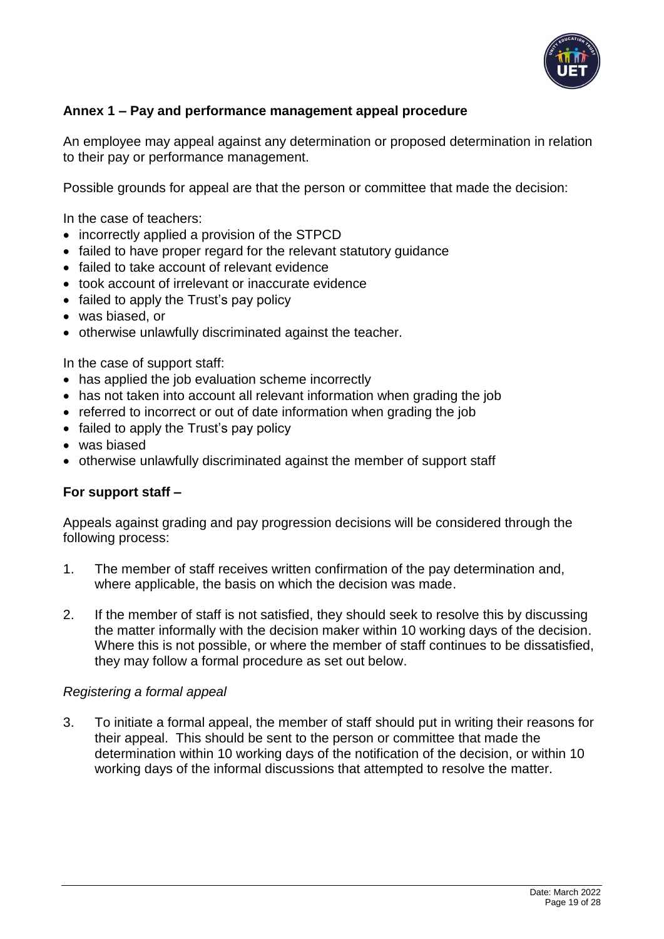

## <span id="page-18-0"></span>**Annex 1 – Pay and performance management appeal procedure**

An employee may appeal against any determination or proposed determination in relation to their pay or performance management.

Possible grounds for appeal are that the person or committee that made the decision:

In the case of teachers:

- incorrectly applied a provision of the STPCD
- failed to have proper regard for the relevant statutory guidance
- failed to take account of relevant evidence
- took account of irrelevant or inaccurate evidence
- failed to apply the Trust's pay policy
- was biased, or
- otherwise unlawfully discriminated against the teacher.

In the case of support staff:

- has applied the job evaluation scheme incorrectly
- has not taken into account all relevant information when grading the job
- referred to incorrect or out of date information when grading the job
- failed to apply the Trust's pay policy
- was biased
- otherwise unlawfully discriminated against the member of support staff

## **For support staff –**

Appeals against grading and pay progression decisions will be considered through the following process:

- 1. The member of staff receives written confirmation of the pay determination and, where applicable, the basis on which the decision was made.
- 2. If the member of staff is not satisfied, they should seek to resolve this by discussing the matter informally with the decision maker within 10 working days of the decision. Where this is not possible, or where the member of staff continues to be dissatisfied, they may follow a formal procedure as set out below.

#### *Registering a formal appeal*

3. To initiate a formal appeal, the member of staff should put in writing their reasons for their appeal. This should be sent to the person or committee that made the determination within 10 working days of the notification of the decision, or within 10 working days of the informal discussions that attempted to resolve the matter.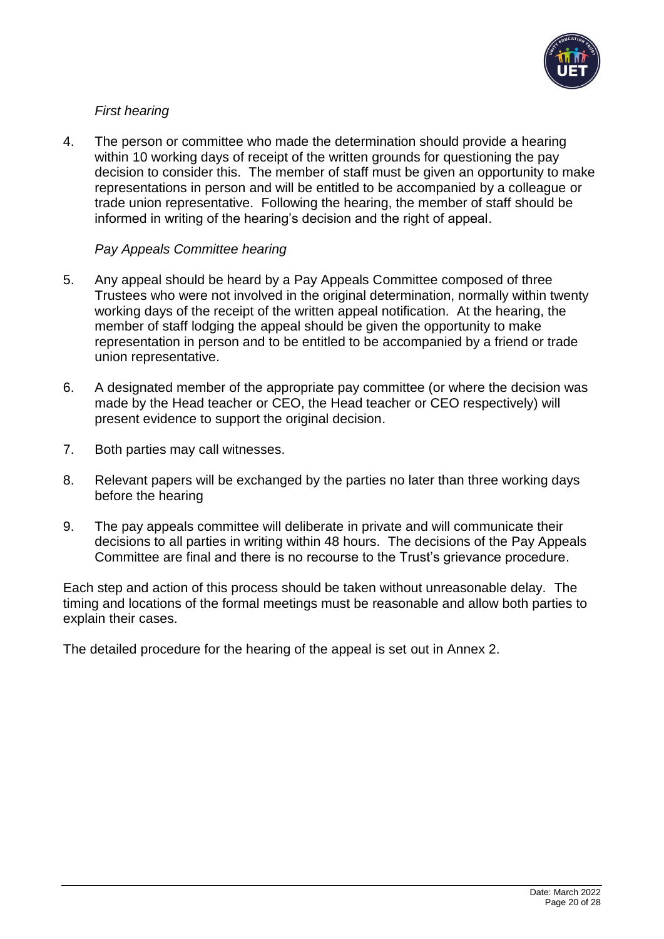

## *First hearing*

4. The person or committee who made the determination should provide a hearing within 10 working days of receipt of the written grounds for questioning the pay decision to consider this. The member of staff must be given an opportunity to make representations in person and will be entitled to be accompanied by a colleague or trade union representative. Following the hearing, the member of staff should be informed in writing of the hearing's decision and the right of appeal.

## *Pay Appeals Committee hearing*

- 5. Any appeal should be heard by a Pay Appeals Committee composed of three Trustees who were not involved in the original determination, normally within twenty working days of the receipt of the written appeal notification. At the hearing, the member of staff lodging the appeal should be given the opportunity to make representation in person and to be entitled to be accompanied by a friend or trade union representative.
- 6. A designated member of the appropriate pay committee (or where the decision was made by the Head teacher or CEO, the Head teacher or CEO respectively) will present evidence to support the original decision.
- 7. Both parties may call witnesses.
- 8. Relevant papers will be exchanged by the parties no later than three working days before the hearing
- 9. The pay appeals committee will deliberate in private and will communicate their decisions to all parties in writing within 48 hours. The decisions of the Pay Appeals Committee are final and there is no recourse to the Trust's grievance procedure.

Each step and action of this process should be taken without unreasonable delay. The timing and locations of the formal meetings must be reasonable and allow both parties to explain their cases.

The detailed procedure for the hearing of the appeal is set out in Annex 2.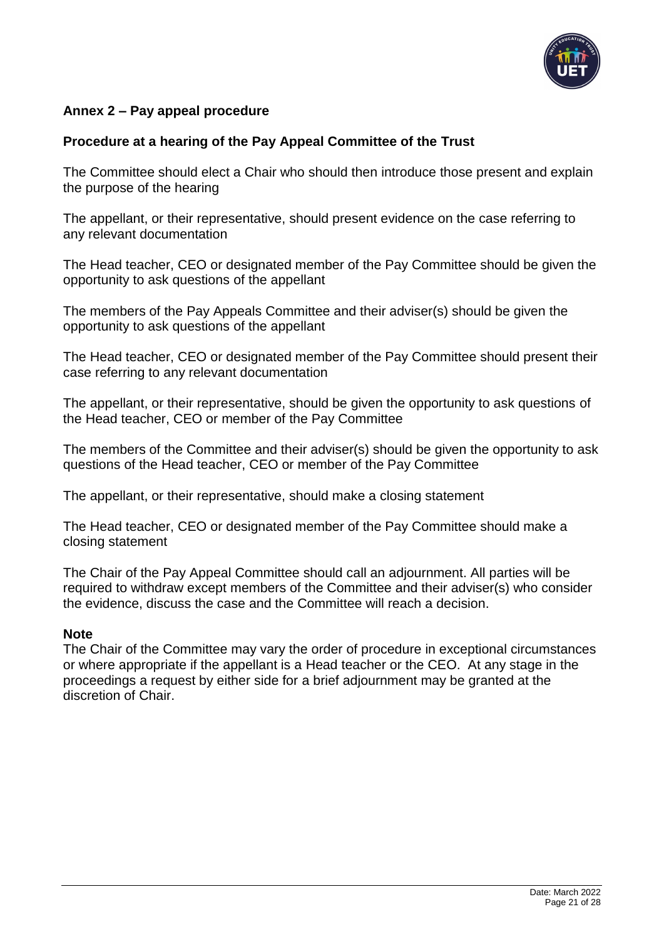

## <span id="page-20-0"></span>**Annex 2 – Pay appeal procedure**

## **Procedure at a hearing of the Pay Appeal Committee of the Trust**

The Committee should elect a Chair who should then introduce those present and explain the purpose of the hearing

The appellant, or their representative, should present evidence on the case referring to any relevant documentation

The Head teacher, CEO or designated member of the Pay Committee should be given the opportunity to ask questions of the appellant

The members of the Pay Appeals Committee and their adviser(s) should be given the opportunity to ask questions of the appellant

The Head teacher, CEO or designated member of the Pay Committee should present their case referring to any relevant documentation

The appellant, or their representative, should be given the opportunity to ask questions of the Head teacher, CEO or member of the Pay Committee

The members of the Committee and their adviser(s) should be given the opportunity to ask questions of the Head teacher, CEO or member of the Pay Committee

The appellant, or their representative, should make a closing statement

The Head teacher, CEO or designated member of the Pay Committee should make a closing statement

The Chair of the Pay Appeal Committee should call an adjournment. All parties will be required to withdraw except members of the Committee and their adviser(s) who consider the evidence, discuss the case and the Committee will reach a decision.

#### **Note**

The Chair of the Committee may vary the order of procedure in exceptional circumstances or where appropriate if the appellant is a Head teacher or the CEO. At any stage in the proceedings a request by either side for a brief adjournment may be granted at the discretion of Chair.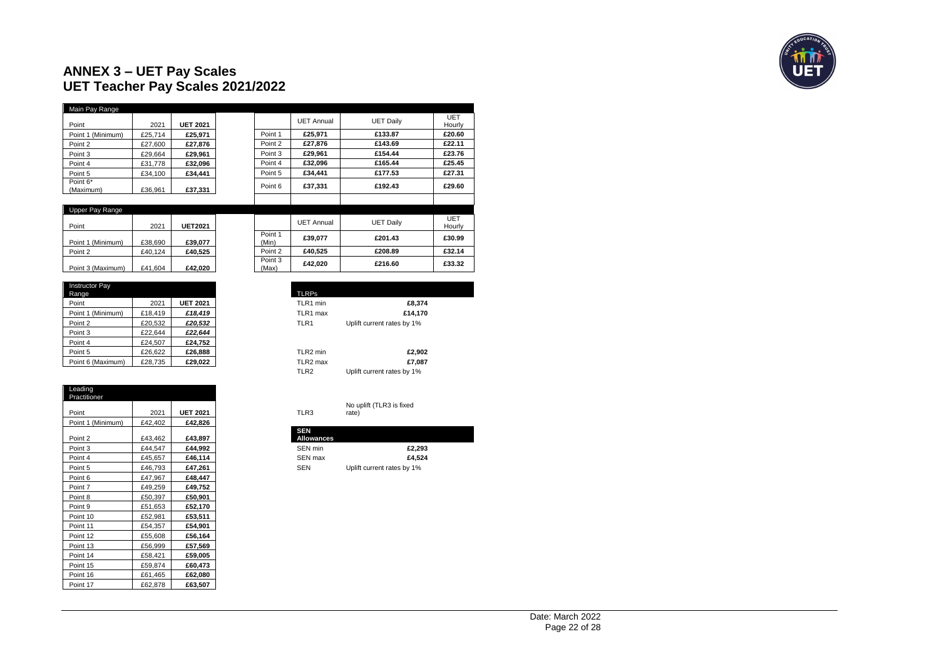## **ANNEX 3 – UET Pay Scales UET Teacher Pay Scales 2021/2022**

| Main Pay Range        |         |                 |         |                   |                  |               |
|-----------------------|---------|-----------------|---------|-------------------|------------------|---------------|
| Point                 | 2021    | <b>UET 2021</b> |         | <b>UET Annual</b> | <b>UET Daily</b> | UET<br>Hourly |
| Point 1 (Minimum)     | £25.714 | £25,971         | Point 1 | £25.971           | £133.87          | £20.60        |
| Point 2               | £27.600 | £27.876         | Point 2 | £27.876           | £143.69          | £22.11        |
| Point 3               | £29.664 | £29.961         | Point 3 | £29.961           | £154.44          | £23.76        |
| Point 4               | £31.778 | £32.096         | Point 4 | £32.096           | £165.44          | £25.45        |
| Point 5               | £34.100 | £34.441         | Point 5 | £34.441           | £177.53          | £27.31        |
| Point 6*<br>(Maximum) | £36.961 | £37,331         | Point 6 | £37.331           | £192.43          | £29.60        |
|                       |         |                 |         |                   |                  |               |

| Upper Pay Range   |         |                |                  |            |                  |               |
|-------------------|---------|----------------|------------------|------------|------------------|---------------|
| Point             | 2021    | <b>UET2021</b> |                  | UET Annual | <b>UET Daily</b> | UET<br>Hourly |
| Point 1 (Minimum) | £38.690 | £39,077        | Point 1<br>(Min) | £39.077    | £201.43          | £30.99        |
| Point 2           | £40.124 | £40.525        | Point 2          | £40.525    | £208.89          | £32.14        |
| Point 3 (Maximum) | £41.604 | £42,020        | Point 3<br>(Max) | £42.020    | £216.60          | £33.32        |

| <b>Instructor Pav</b><br>Range |         |                 |
|--------------------------------|---------|-----------------|
| Point                          | 2021    | <b>UET 2021</b> |
| Point 1 (Minimum)              | £18.419 | £18,419         |
| Point 2                        | £20.532 | £20.532         |
| Point 3                        | £22.644 | £22.644         |
| Point 4                        | £24.507 | £24.752         |
| Point 5                        | £26,622 | £26,888         |
| Point 6 (Maximum)              | £28,735 | £29,022         |

| Leading<br>Practitioner |         |                 |
|-------------------------|---------|-----------------|
| Point                   | 2021    | <b>UET 2021</b> |
| Point 1 (Minimum)       | £42,402 | £42,826         |
| Point 2                 | £43,462 | £43,897         |
| Point 3                 | £44,547 | £44,992         |
| Point 4                 | £45,657 | £46,114         |
| Point 5                 | £46,793 | £47,261         |
| Point 6                 | £47,967 | £48,447         |
| Point 7                 | £49,259 | £49,752         |
| Point 8                 | £50,397 | £50,901         |
| Point 9                 | £51,653 | £52,170         |
| Point 10                | £52,981 | £53,511         |
| Point 11                | £54,357 | £54,901         |
| Point 12                | £55,608 | £56,164         |
| Point 13                | £56,999 | £57,569         |
| Point 14                | £58,421 | £59,005         |
| Point 15                | £59,874 | £60,473         |
| Point 16                | £61,465 | £62,080         |
| Point 17                | £62,878 | £63,507         |

| <b>TLRPs</b>     |                            |
|------------------|----------------------------|
| TLR1 min         | £8,374                     |
| TLR1 max         | £14,170                    |
| TLR1             | Uplift current rates by 1% |
|                  |                            |
| TLR2 min         | £2,902                     |
| TLR2 max         | £7,087                     |
| TLR <sub>2</sub> | Uplift current rates by 1% |
|                  |                            |

Hourly

| No uplift (TLR3 is fixed |
|--------------------------|
| rate)                    |

| <b>SEN</b><br><b>Allowances</b> |                            |
|---------------------------------|----------------------------|
| SEN min                         | £2.293                     |
| SEN max                         | £4.524                     |
| <b>SEN</b>                      | Uplift current rates by 1% |

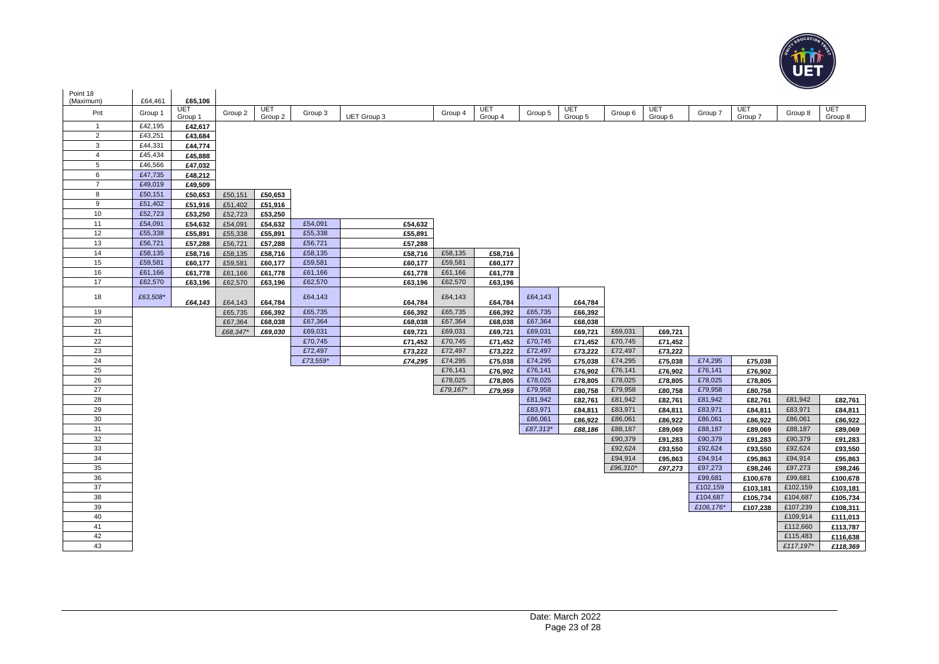

| Point 18         |                    |                    |          |         |          |                    |                     |         |                    |                    |                    |                    |                    |                    |           |                    |
|------------------|--------------------|--------------------|----------|---------|----------|--------------------|---------------------|---------|--------------------|--------------------|--------------------|--------------------|--------------------|--------------------|-----------|--------------------|
| (Maximum)<br>Pnt | £64,461<br>Group 1 | £65,106<br>UET     | Group 2  | UET     | Group 3  |                    | Group 4             | UET     | Group 5            | UET                | Group 6            | UET                | Group 7            | UET                | Group 8   | UET                |
| $\overline{1}$   | £42,195            | Group 1            |          | Group 2 |          | <b>UET Group 3</b> |                     | Group 4 |                    | Group 5            |                    | Group 6            |                    | Group 7            |           | Group 8            |
| $\overline{2}$   | £43,251            | £42,617            |          |         |          |                    |                     |         |                    |                    |                    |                    |                    |                    |           |                    |
| $\mathbf{3}$     | £44,331            | £43,684<br>£44,774 |          |         |          |                    |                     |         |                    |                    |                    |                    |                    |                    |           |                    |
| 4                | £45,434            | £45,888            |          |         |          |                    |                     |         |                    |                    |                    |                    |                    |                    |           |                    |
| 5                | £46,566            | £47,032            |          |         |          |                    |                     |         |                    |                    |                    |                    |                    |                    |           |                    |
| 6                | £47,735            | £48,212            |          |         |          |                    |                     |         |                    |                    |                    |                    |                    |                    |           |                    |
| $\overline{7}$   | £49,019            | £49,509            |          |         |          |                    |                     |         |                    |                    |                    |                    |                    |                    |           |                    |
| 8                | £50,151            | £50,653            | £50.151  | £50.653 |          |                    |                     |         |                    |                    |                    |                    |                    |                    |           |                    |
| 9                | £51,402            | £51,916            | £51,402  | £51,916 |          |                    |                     |         |                    |                    |                    |                    |                    |                    |           |                    |
| 10               | £52,723            | £53,250            | £52,723  | £53,250 |          |                    |                     |         |                    |                    |                    |                    |                    |                    |           |                    |
| 11               | £54,091            | £54,632            | £54,091  | £54,632 | £54,091  | £54,632            |                     |         |                    |                    |                    |                    |                    |                    |           |                    |
| 12               | £55,338            | £55,891            | £55,338  | £55,891 | £55,338  | £55,891            |                     |         |                    |                    |                    |                    |                    |                    |           |                    |
| 13               | £56,721            | £57,288            | £56,721  | £57,288 | £56,721  | £57,288            |                     |         |                    |                    |                    |                    |                    |                    |           |                    |
| 14               | £58,135            | £58,716            | £58,135  | £58,716 | £58,135  | £58,716            | £58,135             | £58,716 |                    |                    |                    |                    |                    |                    |           |                    |
| 15               | £59,581            | £60,177            | £59,581  | £60,177 | £59,581  | £60,177            | £59,581             | £60,177 |                    |                    |                    |                    |                    |                    |           |                    |
| 16               | £61,166            | £61,778            | £61,166  | £61,778 | £61,166  | £61,778            | £61,166             | £61,778 |                    |                    |                    |                    |                    |                    |           |                    |
| 17               | £62,570            | £63.196            | £62,570  | £63.196 | £62,570  | £63,196            | £62,570             | £63,196 |                    |                    |                    |                    |                    |                    |           |                    |
| 18               | £63,508*           | £64,143            | £64,143  | £64,784 | £64,143  | £64,784            | £64,143             | £64,784 | £64,143            | £64,784            |                    |                    |                    |                    |           |                    |
| 19               |                    |                    | £65,735  | £66,392 | £65,735  | £66,392            | £65,735             | £66,392 | £65,735            | £66,392            |                    |                    |                    |                    |           |                    |
| 20               |                    |                    | £67,364  | £68,038 | £67,364  | £68,038            | £67,364             | £68,038 | £67,364            | £68,038            |                    |                    |                    |                    |           |                    |
| 21               |                    |                    | £68,347* | £69,030 | £69,031  | £69,721            | £69,031             | £69,721 | £69,031            | £69,721            | £69,031            | £69,721            |                    |                    |           |                    |
| 22               |                    |                    |          |         | £70,745  | £71,452            | £70,745             | £71,452 | £70,745            | £71,452            | £70,745            | £71,452            |                    |                    |           |                    |
| 23               |                    |                    |          |         | £72,497  | £73,222            | £72,497             | £73,222 | £72,497            | £73,222            | £72,497            | £73,222            |                    |                    |           |                    |
| 24               |                    |                    |          |         | £73,559* | £74,295            | £74,295             | £75,038 | £74,295            | £75,038            | £74,295            | £75,038            | £74,295            | £75,038            |           |                    |
| 25               |                    |                    |          |         |          |                    | £76,141             | £76,902 | £76,141            | £76,902            | £76,141            | £76,902            | £76,141            | £76,902            |           |                    |
| 26<br>27         |                    |                    |          |         |          |                    | £78,025<br>£79,167* | £78,805 | £78,025            | £78,805            | £78,025            | £78,805            | £78,025            | £78,805            |           |                    |
| 28               |                    |                    |          |         |          |                    |                     | £79,959 | £79,958<br>£81,942 | £80,758            | £79,958<br>£81,942 | £80,758            | £79,958<br>£81,942 | £80,758            | £81,942   |                    |
| 29               |                    |                    |          |         |          |                    |                     |         | £83,971            | £82,761<br>£84,811 | £83,971            | £82,761<br>£84,811 | £83,971            | £82,761<br>£84,811 | £83,971   | £82,761<br>£84,811 |
| 30               |                    |                    |          |         |          |                    |                     |         | £86,061            | £86,922            | £86,061            | £86,922            | £86,061            | £86,922            | £86,061   | £86,922            |
| 31               |                    |                    |          |         |          |                    |                     |         | £87,313*           | £88,186            | £88,187            | £89,069            | £88,187            | £89,069            | £88,187   | £89,069            |
| 32               |                    |                    |          |         |          |                    |                     |         |                    |                    | £90,379            | £91,283            | £90,379            | £91,283            | £90,379   | £91,283            |
| 33               |                    |                    |          |         |          |                    |                     |         |                    |                    | £92,624            | £93,550            | £92,624            | £93,550            | £92,624   | £93,550            |
| 34               |                    |                    |          |         |          |                    |                     |         |                    |                    | £94,914            | £95,863            | £94,914            | £95,863            | £94,914   | £95,863            |
| 35               |                    |                    |          |         |          |                    |                     |         |                    |                    | £96,310*           | £97,273            | £97,273            | £98,246            | £97,273   | £98,246            |
| 36               |                    |                    |          |         |          |                    |                     |         |                    |                    |                    |                    | £99,681            | £100,678           | £99,681   | £100,678           |
| 37               |                    |                    |          |         |          |                    |                     |         |                    |                    |                    |                    | £102,159           | £103,181           | £102,159  | £103,181           |
| 38               |                    |                    |          |         |          |                    |                     |         |                    |                    |                    |                    | £104,687           | £105,734           | £104,687  | £105,734           |
| 39               |                    |                    |          |         |          |                    |                     |         |                    |                    |                    |                    | £106,176*          | £107,238           | £107,239  | £108,311           |
| 40               |                    |                    |          |         |          |                    |                     |         |                    |                    |                    |                    |                    |                    | £109,914  | £111,013           |
| 41               |                    |                    |          |         |          |                    |                     |         |                    |                    |                    |                    |                    |                    | £112,660  | £113,787           |
| 42               |                    |                    |          |         |          |                    |                     |         |                    |                    |                    |                    |                    |                    | £115,483  | £116,638           |
| 43               |                    |                    |          |         |          |                    |                     |         |                    |                    |                    |                    |                    |                    | £117,197* | £118,369           |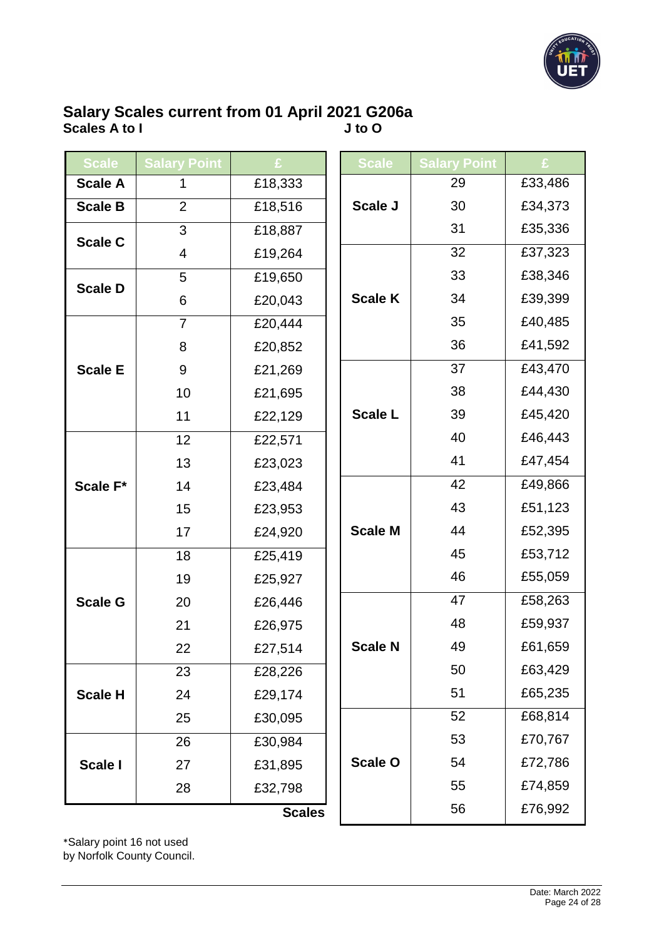

## **Salary Scales current from 01 April 2021 G206a Scales A to I J to O**

| <b>Scale</b>   | <b>Salary Point</b> |               | <b>Scale</b>   | <b>Salary Point</b> |         |
|----------------|---------------------|---------------|----------------|---------------------|---------|
| <b>Scale A</b> | 1                   | £18,333       |                | 29                  | £33,486 |
| <b>Scale B</b> | $\overline{2}$      | £18,516       | Scale J        | 30                  | £34,373 |
| <b>Scale C</b> | 3                   | £18,887       |                | 31                  | £35,336 |
|                | 4                   | £19,264       |                | 32                  | £37,323 |
|                | 5                   | £19,650       |                | 33                  | £38,346 |
| <b>Scale D</b> | 6                   | £20,043       | <b>Scale K</b> | 34                  | £39,399 |
|                | $\overline{7}$      | £20,444       |                |                     | £40,485 |
|                | 8                   | £20,852       |                | 36                  | £41,592 |
| <b>Scale E</b> | 9                   | £21,269       |                | 37                  | £43,470 |
|                | 10                  | £21,695       |                | 38                  | £44,430 |
|                | 11                  | £22,129       | <b>Scale L</b> | 39                  | £45,420 |
|                | 12                  | £22,571       |                | 40                  | £46,443 |
| Scale F*       | 13                  | £23,023       |                | 41                  | £47,454 |
|                | 14                  | £23,484       |                | 42                  | £49,866 |
|                | 15                  | £23,953       |                | 43                  | £51,123 |
|                | 17                  | £24,920       | <b>Scale M</b> | 44                  | £52,395 |
|                | 18                  | £25,419       |                | 45                  | £53,712 |
|                | 19                  | £25,927       |                | 46                  | £55,059 |
| <b>Scale G</b> | 20                  | £26,446       |                | 47                  | £58,263 |
|                | 21                  | £26,975       |                | 48                  | £59,937 |
|                | 22                  | £27,514       | <b>Scale N</b> | 49                  | £61,659 |
|                | 23                  | £28,226       |                | 50                  | £63,429 |
| <b>Scale H</b> | 24                  | £29,174       |                | 51                  | £65,235 |
|                | 25                  | £30,095       |                | 52                  | £68,814 |
|                | 26                  | £30,984       |                | 53                  | £70,767 |
| Scale I        | 27                  | £31,895       | <b>Scale O</b> | 54                  | £72,786 |
|                | 28                  | £32,798       |                | 55                  | £74,859 |
|                |                     | <b>Scales</b> |                | 56                  | £76,992 |

\*Salary point 16 not used by Norfolk County Council.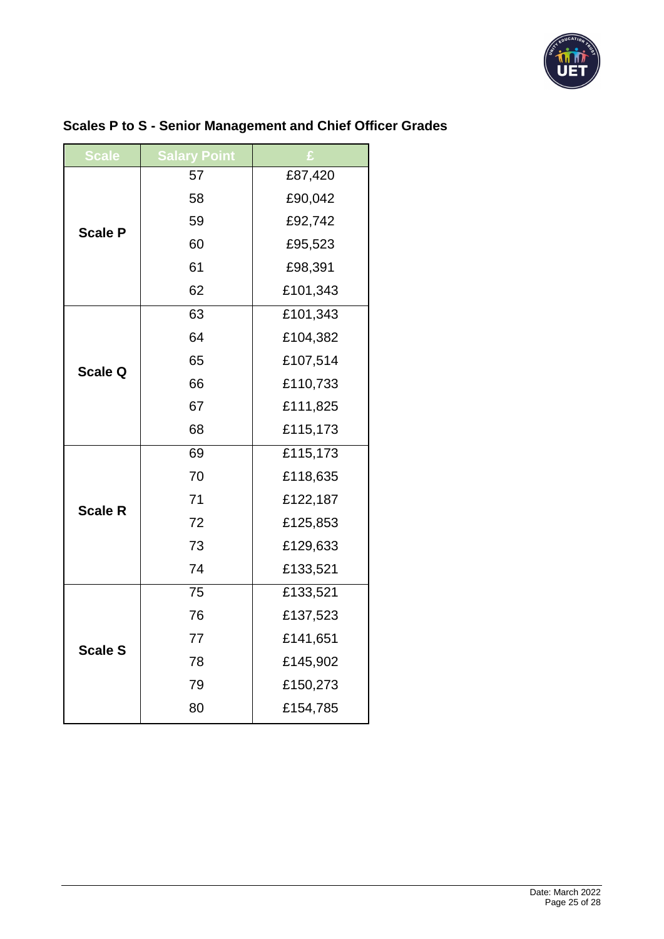

| <b>Scale</b>   | <b>Salary Point</b> |          |  |  |
|----------------|---------------------|----------|--|--|
|                | 57                  | £87,420  |  |  |
|                | 58                  | £90,042  |  |  |
| <b>Scale P</b> | 59                  | £92,742  |  |  |
|                | 60                  | £95,523  |  |  |
|                | 61                  | £98,391  |  |  |
|                | 62                  | £101,343 |  |  |
|                | 63                  | £101,343 |  |  |
|                | 64                  | £104,382 |  |  |
| <b>Scale Q</b> | 65                  | £107,514 |  |  |
|                | 66                  | £110,733 |  |  |
|                | 67                  | £111,825 |  |  |
|                | 68                  | £115,173 |  |  |
|                | 69                  | £115,173 |  |  |
|                | 70                  | £118,635 |  |  |
| <b>Scale R</b> | 71                  | £122,187 |  |  |
|                | 72                  | £125,853 |  |  |
|                | 73                  | £129,633 |  |  |
|                | 74                  | £133,521 |  |  |
|                | 75                  | £133,521 |  |  |
|                | 76                  | £137,523 |  |  |
| <b>Scale S</b> | 77                  | £141,651 |  |  |
|                | 78                  | £145,902 |  |  |
|                | 79                  | £150,273 |  |  |
|                | 80                  | £154,785 |  |  |

# **Scales P to S - Senior Management and Chief Officer Grades**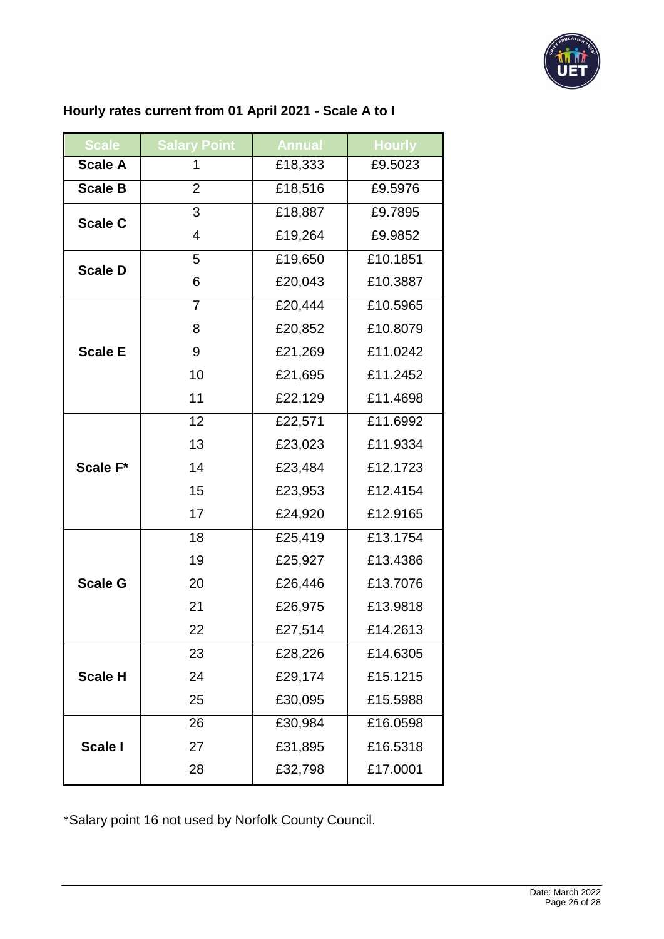

# **Hourly rates current from 01 April 2021 - Scale A to I**

| <b>Scale</b>   | <b>Salary Point</b> | <b>Annual</b> | <b>Hourly</b> |
|----------------|---------------------|---------------|---------------|
| <b>Scale A</b> | 1                   | £18,333       | £9.5023       |
| <b>Scale B</b> | $\overline{2}$      | £18,516       | £9.5976       |
| <b>Scale C</b> | 3                   | £18,887       | £9.7895       |
|                | 4                   | £19,264       | £9.9852       |
| <b>Scale D</b> | 5                   | £19,650       | £10.1851      |
|                | 6                   | £20,043       | £10.3887      |
| <b>Scale E</b> | $\overline{7}$      | £20,444       | £10.5965      |
|                | 8                   | £20,852       | £10.8079      |
|                | 9                   | £21,269       | £11.0242      |
|                | 10                  | £21,695       | £11.2452      |
|                | 11                  | £22,129       | £11.4698      |
| Scale F*       | 12                  | £22,571       | £11.6992      |
|                | 13                  | £23,023       | £11.9334      |
|                | 14                  | £23,484       | £12.1723      |
|                | 15                  | £23,953       | £12.4154      |
|                | 17                  | £24,920       | £12.9165      |
| <b>Scale G</b> | 18                  | £25,419       | £13.1754      |
|                | 19                  | £25,927       | £13.4386      |
|                | 20                  | £26,446       | £13.7076      |
|                | 21                  | £26,975       | £13.9818      |
|                | 22                  | £27,514       | £14.2613      |
| <b>Scale H</b> | 23                  | £28,226       | £14.6305      |
|                | 24                  | £29,174       | £15.1215      |
|                | 25                  | £30,095       | £15.5988      |
| Scale I        | 26                  | £30,984       | £16.0598      |
|                | 27                  | £31,895       | £16.5318      |
|                | 28                  | £32,798       | £17.0001      |

\*Salary point 16 not used by Norfolk County Council.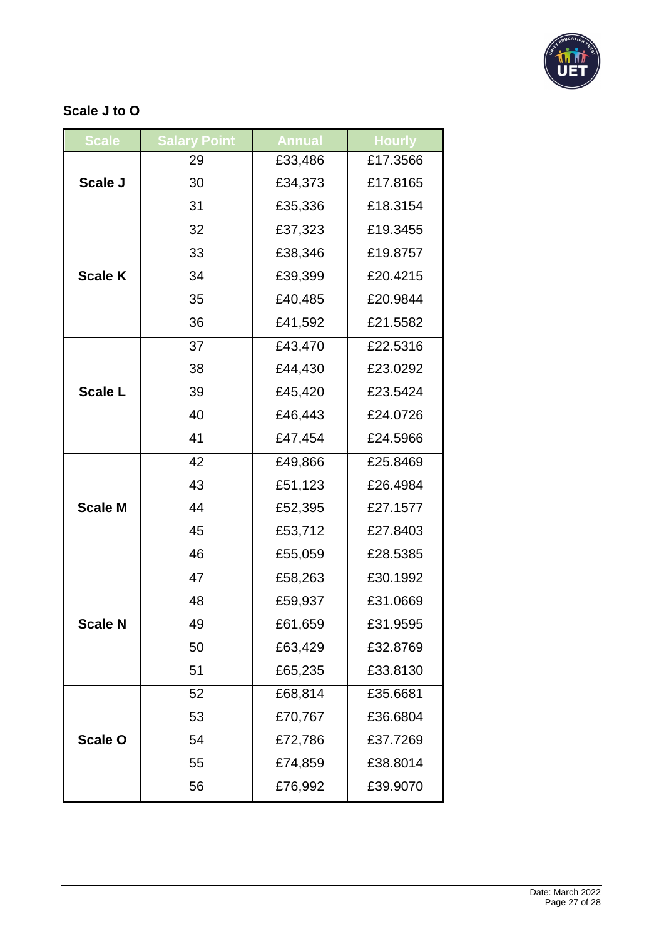

## **Scale J to O**

| <b>Scale</b>   | <b>Salary Point</b> | <b>Annual</b> | <b>Hourly</b> |
|----------------|---------------------|---------------|---------------|
| Scale J        | 29                  | £33,486       | £17.3566      |
|                | 30                  | £34,373       | £17.8165      |
|                | 31                  | £35,336       | £18.3154      |
| <b>Scale K</b> | 32                  | £37,323       | £19.3455      |
|                | 33                  | £38,346       | £19.8757      |
|                | 34                  | £39,399       | £20.4215      |
|                | 35                  | £40,485       | £20.9844      |
|                | 36                  | £41,592       | £21.5582      |
| <b>Scale L</b> | 37                  | £43,470       | £22.5316      |
|                | 38                  | £44,430       | £23.0292      |
|                | 39                  | £45,420       | £23.5424      |
|                | 40                  | £46,443       | £24.0726      |
|                | 41                  | £47,454       | £24.5966      |
| <b>Scale M</b> | 42                  | £49,866       | £25.8469      |
|                | 43                  | £51,123       | £26.4984      |
|                | 44                  | £52,395       | £27.1577      |
|                | 45                  | £53,712       | £27.8403      |
|                | 46                  | £55,059       | £28.5385      |
| Scale N        | 47                  | £58,263       | £30.1992      |
|                | 48                  | £59,937       | £31.0669      |
|                | 49                  | £61,659       | £31.9595      |
|                | 50                  | £63,429       | £32.8769      |
|                | 51                  | £65,235       | £33.8130      |
| <b>Scale O</b> | 52                  | £68,814       | £35.6681      |
|                | 53                  | £70,767       | £36.6804      |
|                | 54                  | £72,786       | £37.7269      |
|                | 55                  | £74,859       | £38.8014      |
|                | 56                  | £76,992       | £39.9070      |